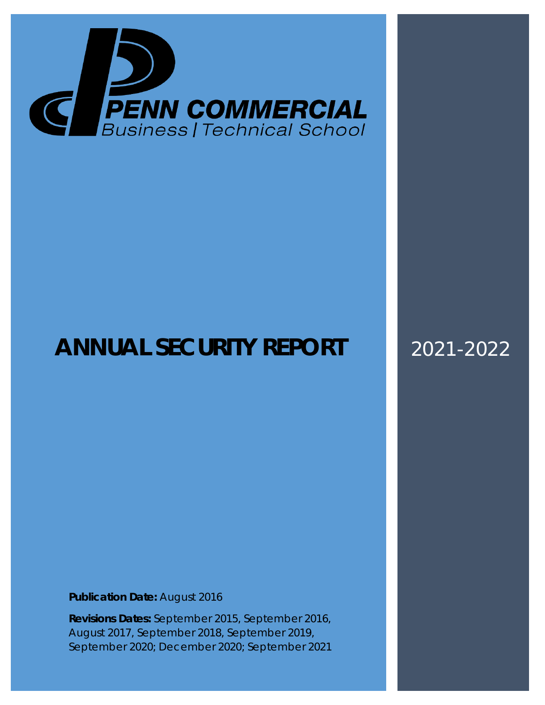

# **ANNUAL SECURITY REPORT** 2021-2022

**Publication Date:** August 2016

**Revisions Dates:** September 2015, September 2016, August 2017, September 2018, September 2019, September 2020; December 2020; September 2021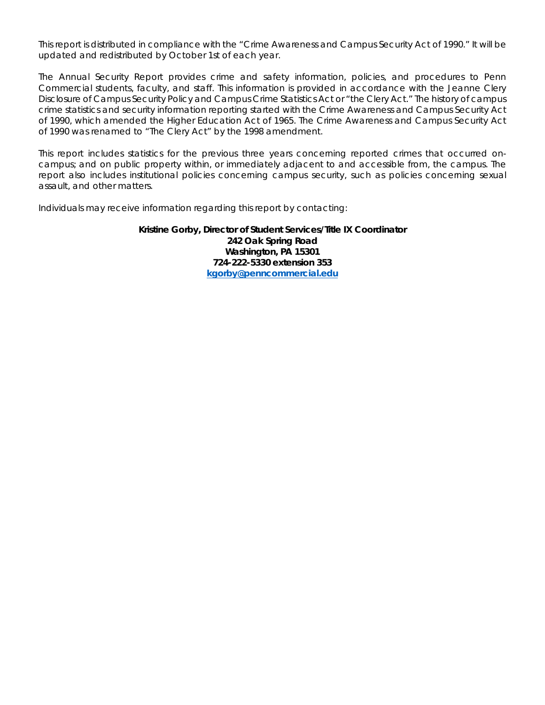This report is distributed in compliance with the "Crime Awareness and Campus Security Act of 1990." It will be updated and redistributed by October 1st of each year.

The Annual Security Report provides crime and safety information, policies, and procedures to Penn Commercial students, faculty, and staff. This information is provided in accordance with the Jeanne Clery Disclosure of Campus Security Policy and Campus Crime Statistics Act or "the Clery Act." The history of campus crime statistics and security information reporting started with the Crime Awareness and Campus Security Act of 1990, which amended the Higher Education Act of 1965. The Crime Awareness and Campus Security Act of 1990 was renamed to "The Clery Act" by the 1998 amendment.

This report includes statistics for the previous three years concerning reported crimes that occurred oncampus; and on public property within, or immediately adjacent to and accessible from, the campus. The report also includes institutional policies concerning campus security, such as policies concerning sexual assault, and other matters.

Individuals may receive information regarding this report by contacting:

**Kristine Gorby, Director of Student Services/Title IX Coordinator 242 Oak Spring Road Washington, PA 15301 724-222-5330 extension 353 [kgorby@penncommercial.edu](mailto:kgorby@penncommercial.edu)**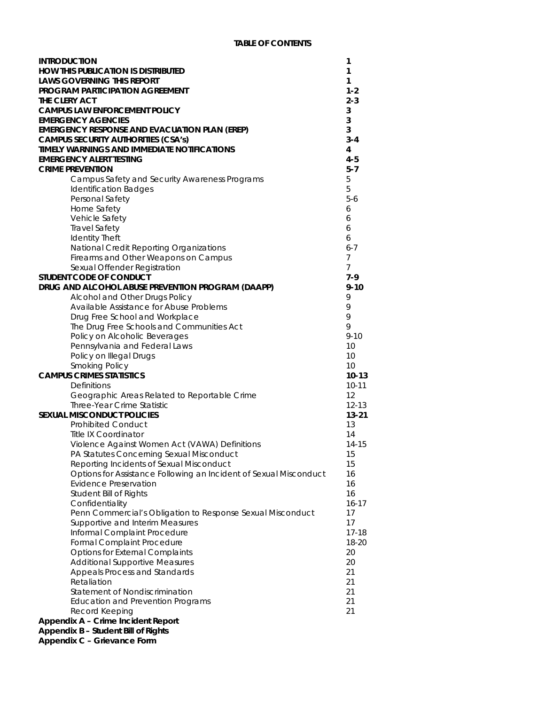| <b>INTRODUCTION</b>                                               | 1              |
|-------------------------------------------------------------------|----------------|
| <b>HOW THIS PUBLICATION IS DISTRIBUTED</b>                        | 1              |
| <b>LAWS GOVERNING THIS REPORT</b>                                 | 1              |
| <b>PROGRAM PARTICIPATION AGREEMENT</b>                            | $1 - 2$        |
| THE CLERY ACT                                                     | $2 - 3$        |
| <b>CAMPUS LAW ENFORCEMENT POLICY</b>                              | 3              |
| <b>EMERGENCY AGENCIES</b>                                         | 3              |
| <b>EMERGENCY RESPONSE AND EVACUATION PLAN (EREP)</b>              | 3              |
| <b>CAMPUS SECURITY AUTHORITIES (CSA's)</b>                        | $3 - 4$        |
| TIMELY WARNINGS AND IMMEDIATE NOTIFICATIONS                       | 4              |
| <b>EMERGENCY ALERT TESTING</b>                                    | $4 - 5$        |
| <b>CRIME PREVENTION</b>                                           | $5 - 7$        |
| Campus Safety and Security Awareness Programs                     | 5              |
|                                                                   | 5              |
| <b>Identification Badges</b>                                      |                |
| Personal Safety                                                   | $5-6$          |
| Home Safety                                                       | 6              |
| Vehicle Safety                                                    | 6              |
| <b>Travel Safety</b>                                              | 6              |
| <b>Identity Theft</b>                                             | 6              |
| National Credit Reporting Organizations                           | $6 - 7$        |
| Firearms and Other Weapons on Campus                              | $\overline{7}$ |
| Sexual Offender Registration                                      | $\overline{7}$ |
| STUDENT CODE OF CONDUCT                                           | $7-9$          |
| DRUG AND ALCOHOL ABUSE PREVENTION PROGRAM (DAAPP)                 | $9 - 10$       |
| Alcohol and Other Drugs Policy                                    | 9              |
| Available Assistance for Abuse Problems                           | 9              |
| Drug Free School and Workplace                                    | 9              |
| The Drug Free Schools and Communities Act                         | 9              |
| Policy on Alcoholic Beverages                                     | $9 - 10$       |
| Pennsylvania and Federal Laws                                     | 10             |
| Policy on Illegal Drugs                                           | 10             |
| <b>Smoking Policy</b>                                             | 10             |
| <b>CAMPUS CRIMES STATISTICS</b>                                   | $10 - 13$      |
| Definitions                                                       | $10 - 11$      |
| Geographic Areas Related to Reportable Crime                      | 12             |
| Three-Year Crime Statistic                                        | $12 - 13$      |
| <b>SEXUAL MISCONDUCT POLICIES</b>                                 | $13 - 21$      |
| <b>Prohibited Conduct</b>                                         | 13             |
| <b>Title IX Coordinator</b>                                       | 14             |
| Violence Against Women Act (VAWA) Definitions                     | $14 - 15$      |
| PA Statutes Concerning Sexual Misconduct                          | 15             |
| Reporting Incidents of Sexual Misconduct                          | 15             |
| Options for Assistance Following an Incident of Sexual Misconduct | 16             |
| <b>Evidence Preservation</b>                                      | 16             |
| <b>Student Bill of Rights</b>                                     | 16             |
| Confidentiality                                                   | $16 - 17$      |
| Penn Commercial's Obligation to Response Sexual Misconduct        | 17             |
| Supportive and Interim Measures                                   | 17             |
| Informal Complaint Procedure                                      | $17 - 18$      |
| Formal Complaint Procedure                                        | 18-20          |
| <b>Options for External Complaints</b>                            | 20             |
| <b>Additional Supportive Measures</b>                             | 20             |
| Appeals Process and Standards                                     | 21             |
| Retaliation                                                       | 21             |
| Statement of Nondiscrimination                                    | 21             |
| <b>Education and Prevention Programs</b>                          | 21             |
| Record Keeping                                                    | 21             |
| Appendix A - Crime Incident Report                                |                |
| Appendix B - Student Bill of Rights                               |                |
| <b>Appendix C - Grievance Form</b>                                |                |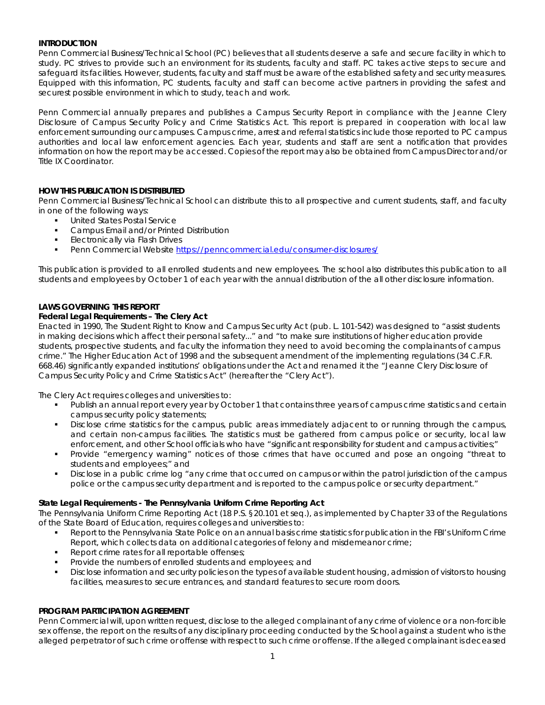# **INTRODUCTION**

Penn Commercial Business/Technical School (PC) believes that all students deserve a safe and secure facility in which to study. PC strives to provide such an environment for its students, faculty and staff. PC takes active steps to secure and safeguard its facilities. However, students, faculty and staff must be aware of the established safety and security measures. Equipped with this information, PC students, faculty and staff can become active partners in providing the safest and securest possible environment in which to study, teach and work.

Penn Commercial annually prepares and publishes a Campus Security Report in compliance with the Jeanne Clery Disclosure of Campus Security Policy and Crime Statistics Act. This report is prepared in cooperation with local law enforcement surrounding our campuses. Campus crime, arrest and referral statistics include those reported to PC campus authorities and local law enforcement agencies. Each year, students and staff are sent a notification that provides information on how the report may be accessed. Copies of the report may also be obtained from Campus Director and/or Title IX Coordinator.

# **HOW THIS PUBLICATION IS DISTRIBUTED**

Penn Commercial Business/Technical School can distribute this to all prospective and current students, staff, and faculty in one of the following ways:

- United States Postal Service
- Campus Email and/or Printed Distribution
- Electronically via Flash Drives
- **Penn Commercial Website<https://penncommercial.edu/consumer-disclosures/>**

This publication is provided to all enrolled students and new employees. The school also distributes this publication to all students and employees by October 1 of each year with the annual distribution of the all other disclosure information.

# **LAWS GOVERNING THIS REPORT**

#### *Federal Legal Requirements – The Clery Act*

Enacted in 1990, The Student Right to Know and Campus Security Act (pub. L. 101-542) was designed to "assist students in making decisions which affect their personal safety..." and "to make sure institutions of higher education provide students, prospective students, and faculty the information they need to avoid becoming the complainants of campus crime." The Higher Education Act of 1998 and the subsequent amendment of the implementing regulations (34 C.F.R. 668.46) significantly expanded institutions' obligations under the Act and renamed it the "Jeanne Clery Disclosure of Campus Security Policy and Crime Statistics Act" (hereafter the "Clery Act").

The Clery Act requires colleges and universities to:

- Publish an annual report every year by October 1 that contains three years of campus crime statistics and certain campus security policy statements;
- Disclose crime statistics for the campus, public areas immediately adjacent to or running through the campus, and certain non-campus facilities. The statistics must be gathered from campus police or security, local law enforcement, and other School officials who have "significant responsibility for student and campus activities;"
- Provide "emergency warning" notices of those crimes that have occurred and pose an ongoing "threat to students and employees;" and
- **•** Disclose in a public crime log "any crime that occurred on campus or within the patrol jurisdiction of the campus police or the campus security department and is reported to the campus police or security department."

#### *State Legal Requirements - The Pennsylvania Uniform Crime Reporting Act*

The Pennsylvania Uniform Crime Reporting Act (18 P.S. §20.101 et seq.), as implemented by Chapter 33 of the Regulations of the State Board of Education, requires colleges and universities to:

- Report to the Pennsylvania State Police on an annual basis crime statistics for publication in the FBI's Uniform Crime Report, which collects data on additional categories of felony and misdemeanor crime;
- Report crime rates for all reportable offenses;
- Provide the numbers of enrolled students and employees; and
- Disclose information and security policies on the types of available student housing, admission of visitors to housing facilities, measures to secure entrances, and standard features to secure room doors.

#### **PROGRAM PARTICIPATION AGREEMENT**

Penn Commercial will, upon written request, disclose to the alleged complainant of any crime of violence or a non-forcible sex offense, the report on the results of any disciplinary proceeding conducted by the School against a student who is the alleged perpetrator of such crime or offense with respect to such crime or offense. If the alleged complainant is deceased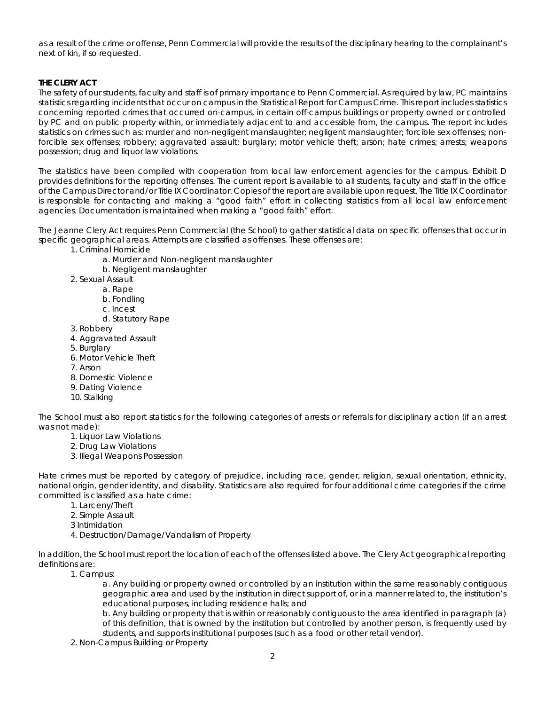as a result of the crime or offense, Penn Commercial will provide the results of the disciplinary hearing to the complainant's next of kin, if so requested.

# **THE CLERY ACT**

The safety of our students, faculty and staff is of primary importance to Penn Commercial. As required by law, PC maintains statistics regarding incidents that occur on campus in the Statistical Report for Campus Crime. This report includes statistics concerning reported crimes that occurred on-campus, in certain off-campus buildings or property owned or controlled by PC and on public property within, or immediately adjacent to and accessible from, the campus. The report includes statistics on crimes such as: murder and non-negligent manslaughter; negligent manslaughter; forcible sex offenses; nonforcible sex offenses; robbery; aggravated assault; burglary; motor vehicle theft; arson; hate crimes; arrests; weapons possession; drug and liquor law violations.

The statistics have been compiled with cooperation from local law enforcement agencies for the campus. Exhibit D provides definitions for the reporting offenses. The current report is available to all students, faculty and staff in the office of the Campus Director and/or Title IX Coordinator. Copies of the report are available upon request. The Title IX Coordinator is responsible for contacting and making a "good faith" effort in collecting statistics from all local law enforcement agencies. Documentation is maintained when making a "good faith" effort.

The Jeanne Clery Act requires Penn Commercial (the School) to gather statistical data on specific offenses that occur in specific geographical areas. Attempts are classified as offenses. These offenses are:

- 1. Criminal Homicide
	- a. Murder and Non-negligent manslaughter
	- b. Negligent manslaughter
- 2. Sexual Assault
	- a. Rape
		- b. Fondling
		- c. Incest
		- d. Statutory Rape
- 3. Robbery
- 4. Aggravated Assault
- 5. Burglary
- 6. Motor Vehicle Theft
- 7. Arson
- 8. Domestic Violence
- 9. Dating Violence
- 10. Stalking

The School must also report statistics for the following categories of arrests or referrals for disciplinary action (if an arrest was not made):

- 1. Liquor Law Violations
- 2. Drug Law Violations
- 3. Illegal Weapons Possession

Hate crimes must be reported by category of prejudice, including race, gender, religion, sexual orientation, ethnicity, national origin, gender identity, and disability. Statistics are also required for four additional crime categories if the crime committed is classified as a hate crime:

- 1. Larceny/Theft
- 2. Simple Assault
- 3 Intimidation
- 4. Destruction/Damage/Vandalism of Property

In addition, the School must report the location of each of the offenses listed above. The Clery Act geographical reporting definitions are:

1. Campus:

a. Any building or property owned or controlled by an institution within the same reasonably contiguous geographic area and used by the institution in direct support of, or in a manner related to, the institution's educational purposes, including residence halls; and

b. Any building or property that is within or reasonably contiguous to the area identified in paragraph (a) of this definition, that is owned by the institution but controlled by another person, is frequently used by students, and supports institutional purposes (such as a food or other retail vendor).

2. Non-Campus Building or Property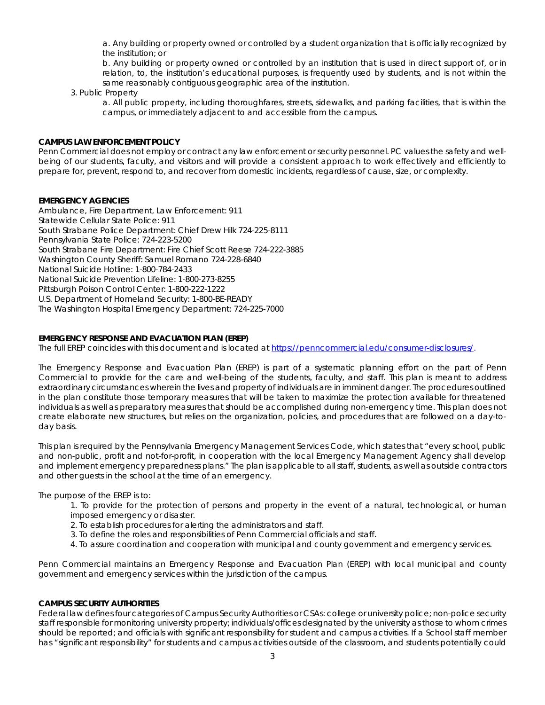a. Any building or property owned or controlled by a student organization that is officially recognized by the institution; or

b. Any building or property owned or controlled by an institution that is used in direct support of, or in relation, to, the institution's educational purposes, is frequently used by students, and is not within the same reasonably contiguous geographic area of the institution.

#### 3. Public Property

a. All public property, including thoroughfares, streets, sidewalks, and parking facilities, that is within the campus, or immediately adjacent to and accessible from the campus.

# **CAMPUS LAW ENFORCEMENT POLICY**

Penn Commercial does not employ or contract any law enforcement or security personnel. PC values the safety and wellbeing of our students, faculty, and visitors and will provide a consistent approach to work effectively and efficiently to prepare for, prevent, respond to, and recover from domestic incidents, regardless of cause, size, or complexity.

# **EMERGENCY AGENCIES**

Ambulance, Fire Department, Law Enforcement: 911 Statewide Cellular State Police: 911 South Strabane Police Department: Chief Drew Hilk 724-225-8111 Pennsylvania State Police: 724-223-5200 South Strabane Fire Department: Fire Chief Scott Reese 724-222-3885 Washington County Sheriff: Samuel Romano 724-228-6840 National Suicide Hotline: 1-800-784-2433 National Suicide Prevention Lifeline: 1-800-273-8255 Pittsburgh Poison Control Center: 1-800-222-1222 U.S. Department of Homeland Security: 1-800-BE-READY The Washington Hospital Emergency Department: 724-225-7000

# **EMERGENCY RESPONSE AND EVACUATION PLAN (EREP)**

The full EREP coincides with this document and is located at [https://penncommercial.edu/consumer-disclosures/.](https://penncommercial.edu/consumer-disclosures/)

The Emergency Response and Evacuation Plan (EREP) is part of a systematic planning effort on the part of Penn Commercial to provide for the care and well-being of the students, faculty, and staff. This plan is meant to address extraordinary circumstances wherein the lives and property of individuals are in imminent danger. The procedures outlined in the plan constitute those temporary measures that will be taken to maximize the protection available for threatened individuals as well as preparatory measures that should be accomplished during non-emergency time. This plan does not create elaborate new structures, but relies on the organization, policies, and procedures that are followed on a day-today basis.

This plan is required by the Pennsylvania Emergency Management Services Code, which states that "every school, public and non-public, profit and not-for-profit, in cooperation with the local Emergency Management Agency shall develop and implement emergency preparedness plans." The plan is applicable to all staff, students, as well as outside contractors and other guests in the school at the time of an emergency.

The purpose of the EREP is to:

- 1. To provide for the protection of persons and property in the event of a natural, technological, or human imposed emergency or disaster.
- 2. To establish procedures for alerting the administrators and staff.
- 3. To define the roles and responsibilities of Penn Commercial officials and staff.
- 4. To assure coordination and cooperation with municipal and county government and emergency services.

Penn Commercial maintains an Emergency Response and Evacuation Plan (EREP) with local municipal and county government and emergency services within the jurisdiction of the campus.

#### **CAMPUS SECURITY AUTHORITIES**

Federal law defines four categories of Campus Security Authorities or CSAs: college or university police; non-police security staff responsible for monitoring university property; individuals/offices designated by the university as those to whom crimes should be reported; and officials with significant responsibility for student and campus activities. If a School staff member has "significant responsibility" for students and campus activities outside of the classroom, and students potentially could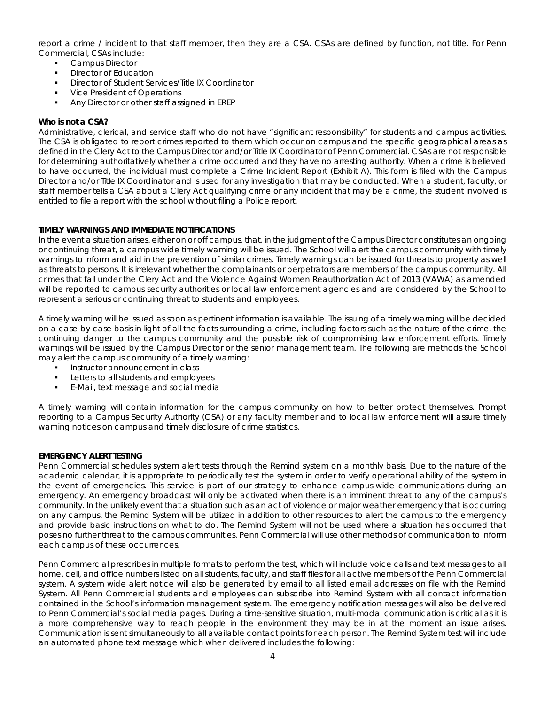report a crime / incident to that staff member, then they are a CSA. CSAs are defined by function, not title. For Penn Commercial, CSAs include:

- Campus Director
- Director of Education
- Director of Student Services/Title IX Coordinator
- Vice President of Operations
- Any Director or other staff assigned in EREP

# *Who is not a CSA?*

Administrative, clerical, and service staff who do not have "significant responsibility" for students and campus activities. The CSA is obligated to report crimes reported to them which occur on campus and the specific geographical areas as defined in the Clery Act to the Campus Director and/or Title IX Coordinator of Penn Commercial. CSAs are not responsible for determining authoritatively whether a crime occurred and they have no arresting authority. When a crime is believed to have occurred, the individual must complete a Crime Incident Report (Exhibit A). This form is filed with the Campus Director and/or Title IX Coordinator and is used for any investigation that may be conducted. When a student, faculty, or staff member tells a CSA about a Clery Act qualifying crime or any incident that may be a crime, the student involved is entitled to file a report with the school without filing a Police report.

# **TIMELY WARNINGS AND IMMEDIATE NOTIFICATIONS**

In the event a situation arises, either on or off campus, that, in the judgment of the Campus Director constitutes an ongoing or continuing threat, a campus wide timely warning will be issued. The School will alert the campus community with timely warnings to inform and aid in the prevention of similar crimes. Timely warnings can be issued for threats to property as well as threats to persons. It is irrelevant whether the complainants or perpetrators are members of the campus community. All crimes that fall under the Clery Act and the Violence Against Women Reauthorization Act of 2013 (VAWA) as amended will be reported to campus security authorities or local law enforcement agencies and are considered by the School to represent a serious or continuing threat to students and employees.

A timely warning will be issued as soon as pertinent information is available. The issuing of a timely warning will be decided on a case-by-case basis in light of all the facts surrounding a crime, including factors such as the nature of the crime, the continuing danger to the campus community and the possible risk of compromising law enforcement efforts. Timely warnings will be issued by the Campus Director or the senior management team. The following are methods the School may alert the campus community of a timely warning:

- **Instructor announcement in class**
- **Letters to all students and employees**
- E-Mail, text message and social media

A timely warning will contain information for the campus community on how to better protect themselves. Prompt reporting to a Campus Security Authority (CSA) or any faculty member and to local law enforcement will assure timely warning notices on campus and timely disclosure of crime statistics.

#### **EMERGENCY ALERT TESTING**

Penn Commercial schedules system alert tests through the Remind system on a monthly basis. Due to the nature of the academic calendar, it is appropriate to periodically test the system in order to verify operational ability of the system in the event of emergencies. This service is part of our strategy to enhance campus-wide communications during an emergency. An emergency broadcast will only be activated when there is an imminent threat to any of the campus's community. In the unlikely event that a situation such as an act of violence or major weather emergency that is occurring on any campus, the Remind System will be utilized in addition to other resources to alert the campus to the emergency and provide basic instructions on what to do. The Remind System will not be used where a situation has occurred that poses no further threat to the campus communities. Penn Commercial will use other methods of communication to inform each campus of these occurrences.

Penn Commercial prescribes in multiple formats to perform the test, which will include voice calls and text messages to all home, cell, and office numbers listed on all students, faculty, and staff files for all active members of the Penn Commercial system. A system wide alert notice will also be generated by email to all listed email addresses on file with the Remind System. All Penn Commercial students and employees can subscribe into Remind System with all contact information contained in the School's information management system. The emergency notification messages will also be delivered to Penn Commercial's social media pages. During a time-sensitive situation, multi-modal communication is critical as it is a more comprehensive way to reach people in the environment they may be in at the moment an issue arises. Communication is sent simultaneously to all available contact points for each person. The Remind System test will include an automated phone text message which when delivered includes the following: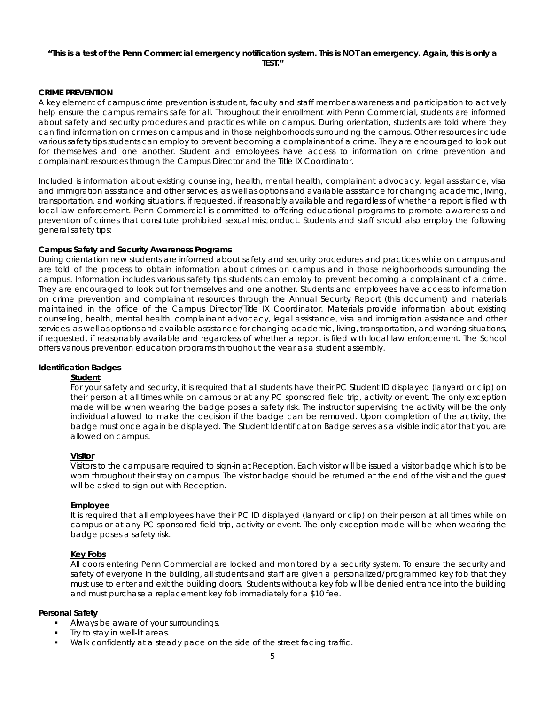#### *"This is a test of the Penn Commercial emergency notification system. This is NOT an emergency. Again, this is only a TEST."*

# **CRIME PREVENTION**

A key element of campus crime prevention is student, faculty and staff member awareness and participation to actively help ensure the campus remains safe for all. Throughout their enrollment with Penn Commercial, students are informed about safety and security procedures and practices while on campus. During orientation, students are told where they can find information on crimes on campus and in those neighborhoods surrounding the campus. Other resources include various safety tips students can employ to prevent becoming a complainant of a crime. They are encouraged to look out for themselves and one another. Student and employees have access to information on crime prevention and complainant resources through the Campus Director and the Title IX Coordinator.

Included is information about existing counseling, health, mental health, complainant advocacy, legal assistance, visa and immigration assistance and other services, as well as options and available assistance for changing academic, living, transportation, and working situations, if requested, if reasonably available and regardless of whether a report is filed with local law enforcement. Penn Commercial is committed to offering educational programs to promote awareness and prevention of crimes that constitute prohibited sexual misconduct. Students and staff should also employ the following general safety tips:

# *Campus Safety and Security Awareness Programs*

During orientation new students are informed about safety and security procedures and practices while on campus and are told of the process to obtain information about crimes on campus and in those neighborhoods surrounding the campus. Information includes various safety tips students can employ to prevent becoming a complainant of a crime. They are encouraged to look out for themselves and one another. Students and employees have access to information on crime prevention and complainant resources through the Annual Security Report (this document) and materials maintained in the office of the Campus Director/Title IX Coordinator. Materials provide information about existing counseling, health, mental health, complainant advocacy, legal assistance, visa and immigration assistance and other services, as well as options and available assistance for changing academic, living, transportation, and working situations, if requested, if reasonably available and regardless of whether a report is filed with local law enforcement. The School offers various prevention education programs throughout the year as a student assembly.

#### *Identification Badges*

#### **Student**

For your safety and security, it is required that all students have their PC Student ID displayed (lanyard or clip) on their person at all times while on campus or at any PC sponsored field trip, activity or event. The only exception made will be when wearing the badge poses a safety risk. The instructor supervising the activity will be the only individual allowed to make the decision if the badge can be removed. Upon completion of the activity, the badge must once again be displayed. The Student Identification Badge serves as a visible indicator that you are allowed on campus.

#### **Visitor**

Visitors to the campus are required to sign-in at Reception. Each visitor will be issued a visitor badge which is to be worn throughout their stay on campus. The visitor badge should be returned at the end of the visit and the guest will be asked to sign-out with Reception.

#### **Employee**

It is required that all employees have their PC ID displayed (lanyard or clip) on their person at all times while on campus or at any PC-sponsored field trip, activity or event. The only exception made will be when wearing the badge poses a safety risk.

#### *Key Fobs*

All doors entering Penn Commercial are locked and monitored by a security system. To ensure the security and safety of everyone in the building, all students and staff are given a personalized/programmed key fob that they must use to enter and exit the building doors. Students without a key fob will be denied entrance into the building and must purchase a replacement key fob immediately for a \$10 fee.

#### *Personal Safety*

- Always be aware of your surroundings.
- Try to stay in well-lit areas.
- Walk confidently at a steady pace on the side of the street facing traffic.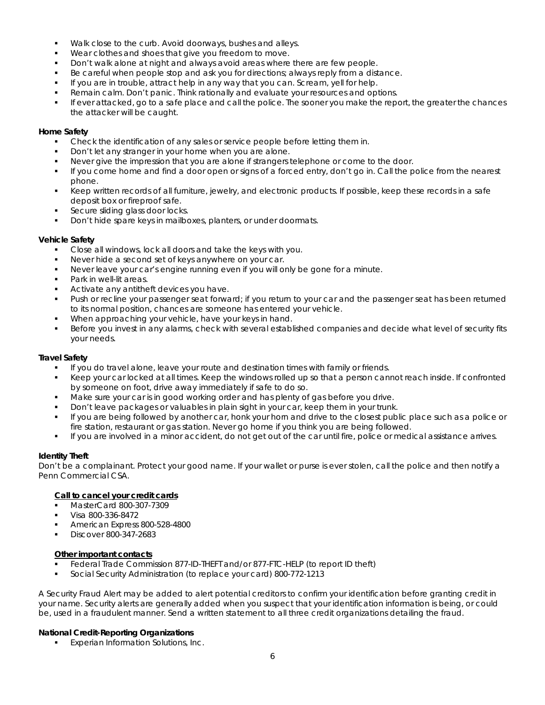- **Walk close to the curb. Avoid doorways, bushes and alleys.**
- Wear clothes and shoes that give you freedom to move.
- Don't walk alone at night and always avoid areas where there are few people.
- Be careful when people stop and ask you for directions; always reply from a distance.
- If you are in trouble, attract help in any way that you can. Scream, yell for help.
- Remain calm. Don't panic. Think rationally and evaluate your resources and options.
- If ever attacked, go to a safe place and call the police. The sooner you make the report, the greater the chances the attacker will be caught.

# *Home Safety*

- Check the identification of any sales or service people before letting them in.
- Don't let any stranger in your home when you are alone.
- Never give the impression that you are alone if strangers telephone or come to the door.
- If you come home and find a door open or signs of a forced entry, don't go in. Call the police from the nearest phone.
- Keep written records of all furniture, jewelry, and electronic products. If possible, keep these records in a safe deposit box or fireproof safe.
- Secure sliding glass door locks.
- Don't hide spare keys in mailboxes, planters, or under doormats.

# *Vehicle Safety*

- Close all windows, lock all doors and take the keys with you.
- Never hide a second set of keys anywhere on your car.
- Never leave your car's engine running even if you will only be gone for a minute.
- Park in well-lit areas.
- Activate any antitheft devices you have.
- Push or recline your passenger seat forward; if you return to your car and the passenger seat has been returned to its normal position, chances are someone has entered your vehicle.
- When approaching your vehicle, have your keys in hand.
- Before you invest in any alarms, check with several established companies and decide what level of security fits your needs.

# *Travel Safety*

- If you do travel alone, leave your route and destination times with family or friends.
- Keep your car locked at all times. Keep the windows rolled up so that a person cannot reach inside. If confronted by someone on foot, drive away immediately if safe to do so.
- Make sure your car is in good working order and has plenty of gas before you drive.
- Don't leave packages or valuables in plain sight in your car, keep them in your trunk.
- If you are being followed by another car, honk your horn and drive to the closest public place such as a police or fire station, restaurant or gas station. Never go home if you think you are being followed.
- If you are involved in a minor accident, do not get out of the car until fire, police or medical assistance arrives.

# *Identity Theft*

Don't be a complainant. Protect your good name. If your wallet or purse is ever stolen, call the police and then notify a Penn Commercial CSA.

# **Call to cancel your credit cards**

- MasterCard 800-307-7309
- Visa 800-336-8472
- American Express 800-528-4800
- Discover 800-347-2683

# **Other important contacts**

- Federal Trade Commission 877-ID-THEFT and/or 877-FTC-HELP (to report ID theft)
- Social Security Administration (to replace your card) 800-772-1213

A Security Fraud Alert may be added to alert potential creditors to confirm your identification before granting credit in your name. Security alerts are generally added when you suspect that your identification information is being, or could be, used in a fraudulent manner. Send a written statement to all three credit organizations detailing the fraud.

# *National Credit-Reporting Organizations*

Experian Information Solutions, Inc.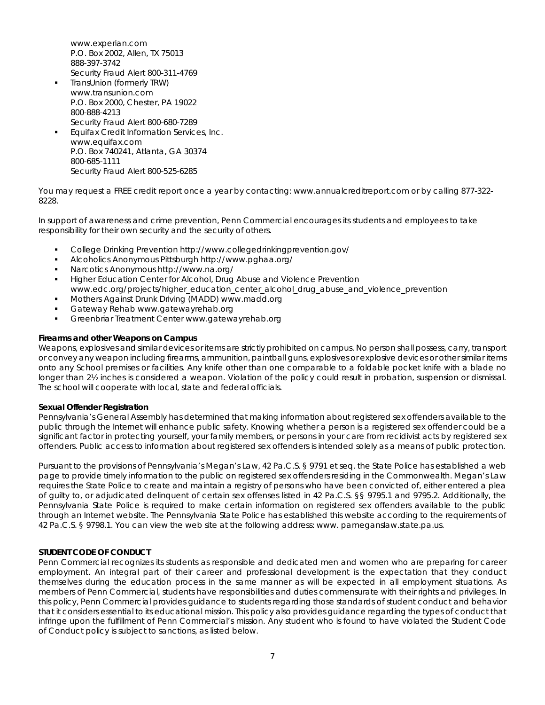www.experian.com P.O. Box 2002, Allen, TX 75013 888-397-3742

- Security Fraud Alert 800-311-4769 TransUnion (formerly TRW) www.transunion.com P.O. Box 2000, Chester, PA 19022 800-888-4213
- Security Fraud Alert 800-680-7289 Equifax Credit Information Services, Inc.
- www.equifax.com P.O. Box 740241, Atlanta, GA 30374 800-685-1111 Security Fraud Alert 800-525-6285

You may request a FREE credit report once a year by contacting: www.annualcreditreport.com or by calling 877-322- 8228.

In support of awareness and crime prevention, Penn Commercial encourages its students and employees to take responsibility for their own security and the security of others.

- College Drinking Prevention http://www.collegedrinkingprevention.gov/
- Alcoholics Anonymous Pittsburgh http://www.pghaa.org/
- Narcotics Anonymous http://www.na.org/
- **Higher Education Center for Alcohol, Drug Abuse and Violence Prevention** www.edc.org/projects/higher\_education\_center\_alcohol\_drug\_abuse\_and\_violence\_prevention
- Mothers Against Drunk Driving (MADD) www.madd.org
- Gateway Rehab www.gatewayrehab.org
- Greenbriar Treatment Center www.gatewayrehab.org

# *Firearms and other Weapons on Campus*

Weapons, explosives and similar devices or items are strictly prohibited on campus. No person shall possess, carry, transport or convey any weapon including firearms, ammunition, paintball guns, explosives or explosive devices or other similar items onto any School premises or facilities. Any knife other than one comparable to a foldable pocket knife with a blade no longer than 2½ inches is considered a weapon. Violation of the policy could result in probation, suspension or dismissal. The school will cooperate with local, state and federal officials.

# **Sexual Offender Registration**

Pennsylvania's General Assembly has determined that making information about registered sex offenders available to the public through the Internet will enhance public safety. Knowing whether a person is a registered sex offender could be a significant factor in protecting yourself, your family members, or persons in your care from recidivist acts by registered sex offenders. Public access to information about registered sex offenders is intended solely as a means of public protection.

Pursuant to the provisions of Pennsylvania's Megan's Law, 42 Pa.C.S. § 9791 et seq. the State Police has established a web page to provide timely information to the public on registered sex offenders residing in the Commonwealth. Megan's Law requires the State Police to create and maintain a registry of persons who have been convicted of, either entered a plea of guilty to, or adjudicated delinquent of certain sex offenses listed in 42 Pa.C.S. §§ 9795.1 and 9795.2. Additionally, the Pennsylvania State Police is required to make certain information on registered sex offenders available to the public through an Internet website. The Pennsylvania State Police has established this website according to the requirements of 42 Pa.C.S. § 9798.1. You can view the web site at the following address: www. pameganslaw.state.pa.us.

# **STUDENT CODE OF CONDUCT**

Penn Commercial recognizes its students as responsible and dedicated men and women who are preparing for career employment. An integral part of their career and professional development is the expectation that they conduct themselves during the education process in the same manner as will be expected in all employment situations. As members of Penn Commercial, students have responsibilities and duties commensurate with their rights and privileges. In this policy, Penn Commercial provides guidance to students regarding those standards of student conduct and behavior that it considers essential to its educational mission. This policy also provides guidance regarding the types of conduct that infringe upon the fulfillment of Penn Commercial's mission. Any student who is found to have violated the Student Code of Conduct policy is subject to sanctions, as listed below.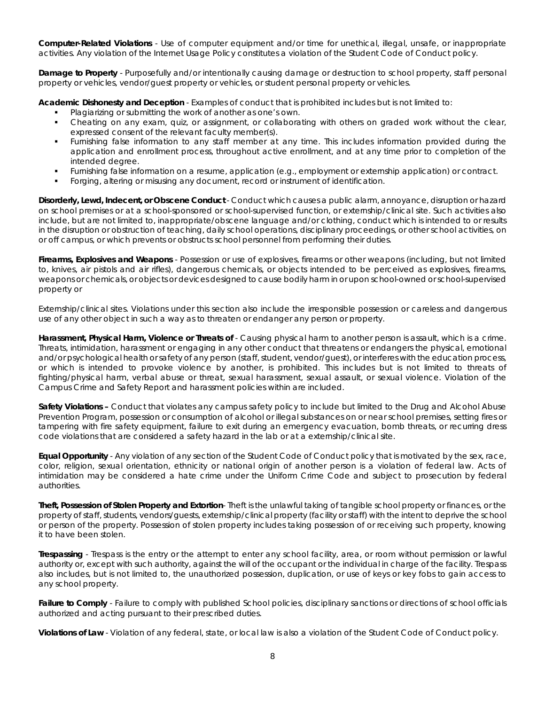*Computer-Related Violations* - Use of computer equipment and/or time for unethical, illegal, unsafe, or inappropriate activities. Any violation of the Internet Usage Policy constitutes a violation of the Student Code of Conduct policy.

*Damage to Property* - Purposefully and/or intentionally causing damage or destruction to school property, staff personal property or vehicles, vendor/guest property or vehicles, or student personal property or vehicles.

*Academic Dishonesty and Deception* - Examples of conduct that is prohibited includes but is not limited to:

- Plagiarizing or submitting the work of another as one's own.
- Cheating on any exam, quiz, or assignment, or collaborating with others on graded work without the clear, expressed consent of the relevant faculty member(s).
- Furnishing false information to any staff member at any time. This includes information provided during the application and enrollment process, throughout active enrollment, and at any time prior to completion of the intended degree.
- Furnishing false information on a resume, application (e.g., employment or externship application) or contract.
- Forging, altering or misusing any document, record or instrument of identification.

*Disorderly, Lewd, Indecent, or Obscene Conduct* - Conduct which causes a public alarm, annoyance, disruption or hazard on school premises or at a school-sponsored or school-supervised function, or externship/clinical site. Such activities also include, but are not limited to, inappropriate/obscene language and/or clothing, conduct which is intended to or results in the disruption or obstruction of teaching, daily school operations, disciplinary proceedings, or other school activities, on or off campus, or which prevents or obstructs school personnel from performing their duties.

*Firearms, Explosives and Weapons* - Possession or use of explosives, firearms or other weapons (including, but not limited to, knives, air pistols and air rifles), dangerous chemicals, or objects intended to be perceived as explosives, firearms, weapons or chemicals, or objects or devices designed to cause bodily harm in or upon school-owned or school-supervised property or

Externship/clinical sites. Violations under this section also include the irresponsible possession or careless and dangerous use of any other object in such a way as to threaten or endanger any person or property.

Harassment, Physical Harm, Violence or Threats of - Causing physical harm to another person is assault, which is a crime. Threats, intimidation, harassment or engaging in any other conduct that threatens or endangers the physical, emotional and/or psychological health or safety of any person (staff, student, vendor/guest), or interferes with the education process, or which is intended to provoke violence by another, is prohibited. This includes but is not limited to threats of fighting/physical harm, verbal abuse or threat, sexual harassment, sexual assault, or sexual violence. Violation of the Campus Crime and Safety Report and harassment policies within are included.

*Safety Violations –* Conduct that violates any campus safety policy to include but limited to the Drug and Alcohol Abuse Prevention Program, possession or consumption of alcohol or illegal substances on or near school premises, setting fires or tampering with fire safety equipment, failure to exit during an emergency evacuation, bomb threats, or recurring dress code violations that are considered a safety hazard in the lab or at a externship/clinical site.

*Equal Opportunity* - Any violation of any section of the Student Code of Conduct policy that is motivated by the sex, race, color, religion, sexual orientation, ethnicity or national origin of another person is a violation of federal law. Acts of intimidation may be considered a hate crime under the Uniform Crime Code and subject to prosecution by federal authorities.

*Theft, Possession of Stolen Property and Extortion*- Theft is the unlawful taking of tangible school property or finances, or the property of staff, students, vendors/guests, externship/clinical property (facility or staff) with the intent to deprive the school or person of the property. Possession of stolen property includes taking possession of or receiving such property, knowing it to have been stolen.

*Trespassing* - Trespass is the entry or the attempt to enter any school facility, area, or room without permission or lawful authority or, except with such authority, against the will of the occupant or the individual in charge of the facility. Trespass also includes, but is not limited to, the unauthorized possession, duplication, or use of keys or key fobs to gain access to any school property.

**Failure to Comply** - Failure to comply with published School policies, disciplinary sanctions or directions of school officials authorized and acting pursuant to their prescribed duties.

*Violations of Law* - Violation of any federal, state, or local law is also a violation of the Student Code of Conduct policy.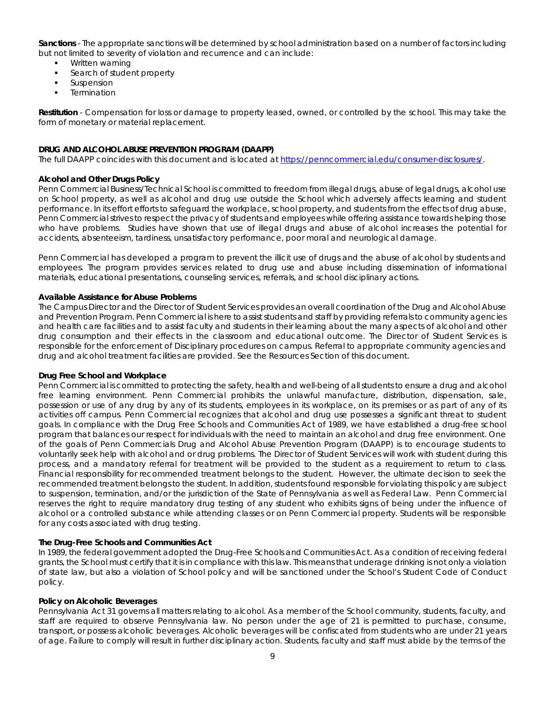*Sanctions* - The appropriate sanctions will be determined by school administration based on a number of factors including but not limited to severity of violation and recurrence and can include:

- Written warning
- Search of student property
- Suspension
- **Termination**

*Restitution* - Compensation for loss or damage to property leased, owned, or controlled by the school. This may take the form of monetary or material replacement.

# **DRUG AND ALCOHOL ABUSE PREVENTION PROGRAM (DAAPP)**

The full DAAPP coincides with this document and is located at [https://penncommercial.edu/consumer-disclosures/.](https://penncommercial.edu/consumer-disclosures/)

# *Alcohol and Other Drugs Policy*

Penn Commercial Business/Technical School is committed to freedom from illegal drugs, abuse of legal drugs, alcohol use on School property, as well as alcohol and drug use outside the School which adversely affects learning and student performance. In its effort efforts to safeguard the workplace, school property, and students from the effects of drug abuse, Penn Commercial strives to respect the privacy of students and employees while offering assistance towards helping those who have problems. Studies have shown that use of illegal drugs and abuse of alcohol increases the potential for accidents, absenteeism, tardiness, unsatisfactory performance, poor moral and neurological damage.

Penn Commercial has developed a program to prevent the illicit use of drugs and the abuse of alcohol by students and employees. The program provides services related to drug use and abuse including dissemination of informational materials, educational presentations, counseling services, referrals, and school disciplinary actions.

# *Available Assistance for Abuse Problems*

The Campus Director and the Director of Student Services provides an overall coordination of the Drug and Alcohol Abuse and Prevention Program. Penn Commercial is here to assist students and staff by providing referrals to community agencies and health care facilities and to assist faculty and students in their learning about the many aspects of alcohol and other drug consumption and their effects in the classroom and educational outcome. The Director of Student Services is responsible for the enforcement of Disciplinary procedures on campus. Referral to appropriate community agencies and drug and alcohol treatment facilities are provided. See the Resources Section of this document.

#### *Drug Free School and Workplace*

Penn Commercial is committed to protecting the safety, health and well-being of all students to ensure a drug and alcohol free learning environment. Penn Commercial prohibits the unlawful manufacture, distribution, dispensation, sale, possession or use of any drug by any of its students, employees in its workplace, on its premises or as part of any of its activities off campus. Penn Commercial recognizes that alcohol and drug use possesses a significant threat to student goals. In compliance with the Drug Free Schools and Communities Act of 1989, we have established a drug-free school program that balances our respect for individuals with the need to maintain an alcohol and drug free environment. One of the goals of Penn Commercials Drug and Alcohol Abuse Prevention Program (DAAPP) is to encourage students to voluntarily seek help with alcohol and or drug problems. The Director of Student Services will work with student during this process, and a mandatory referral for treatment will be provided to the student as a requirement to return to class. Financial responsibility for recommended treatment belongs to the student. However, the ultimate decision to seek the recommended treatment belongs to the student. In addition, students found responsible for violating this policy are subject to suspension, termination, and/or the jurisdiction of the State of Pennsylvania as well as Federal Law. Penn Commercial reserves the right to require mandatory drug testing of any student who exhibits signs of being under the influence of alcohol or a controlled substance while attending classes or on Penn Commercial property. Students will be responsible for any costs associated with drug testing.

#### *The Drug-Free Schools and Communities Act*

In 1989, the federal government adopted the Drug-Free Schools and Communities Act. As a condition of receiving federal grants, the School must certify that it is in compliance with this law. This means that underage drinking is not only a violation of state law, but also a violation of School policy and will be sanctioned under the School's Student Code of Conduct policy.

#### *Policy on Alcoholic Beverages*

Pennsylvania Act 31 governs all matters relating to alcohol. As a member of the School community, students, faculty, and staff are required to observe Pennsylvania law. No person under the age of 21 is permitted to purchase, consume, transport, or possess alcoholic beverages. Alcoholic beverages will be confiscated from students who are under 21 years of age. Failure to comply will result in further disciplinary action. Students, faculty and staff must abide by the terms of the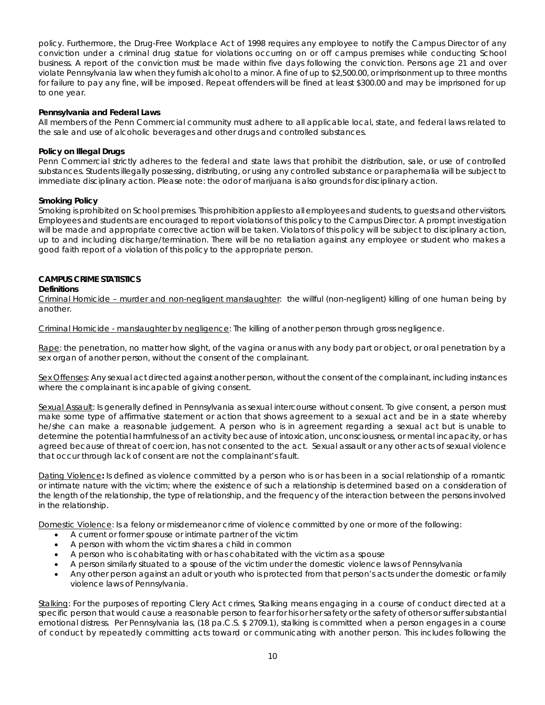policy. Furthermore, the Drug-Free Workplace Act of 1998 requires any employee to notify the Campus Director of any conviction under a criminal drug statue for violations occurring on or off campus premises while conducting School business. A report of the conviction must be made within five days following the conviction. Persons age 21 and over violate Pennsylvania law when they furnish alcohol to a minor. A fine of up to \$2,500.00, or imprisonment up to three months for failure to pay any fine, will be imposed. Repeat offenders will be fined at least \$300.00 and may be imprisoned for up to one year.

# *Pennsylvania and Federal Laws*

All members of the Penn Commercial community must adhere to all applicable local, state, and federal laws related to the sale and use of alcoholic beverages and other drugs and controlled substances.

# *Policy on Illegal Drugs*

Penn Commercial strictly adheres to the federal and state laws that prohibit the distribution, sale, or use of controlled substances. Students illegally possessing, distributing, or using any controlled substance or paraphernalia will be subject to immediate disciplinary action. Please note: the odor of marijuana is also grounds for disciplinary action.

# *Smoking Policy*

Smoking is prohibited on School premises. This prohibition applies to all employees and students, to guests and other visitors. Employees and students are encouraged to report violations of this policy to the Campus Director. A prompt investigation will be made and appropriate corrective action will be taken. Violators of this policy will be subject to disciplinary action, up to and including discharge/termination. There will be no retaliation against any employee or student who makes a good faith report of a violation of this policy to the appropriate person.

# **CAMPUS CRIME STATISTICS**

## *Definitions*

Criminal Homicide – murder and non-negligent manslaughter*:* the willful (non-negligent) killing of one human being by another.

Criminal Homicide - manslaughter by negligence: The killing of another person through gross negligence.

Rape*:* the penetration, no matter how slight, of the vagina or anus with any body part or object, or oral penetration by a sex organ of another person, without the consent of the complainant.

Sex Offenses: Any sexual act directed against another person, without the consent of the complainant, including instances where the complainant is incapable of giving consent.

Sexual Assault*:* Is generally defined in Pennsylvania as sexual intercourse without consent. To give consent, a person must make some type of affirmative statement or action that shows agreement to a sexual act and be in a state whereby he/she can make a reasonable judgement. A person who is in agreement regarding a sexual act but is unable to determine the potential harmfulness of an activity because of intoxication, unconsciousness, or mental incapacity, or has agreed because of threat of coercion, has not consented to the act. Sexual assault or any other acts of sexual violence that occur through lack of consent are not the complainant's fault.

Dating Violence**:** Is defined as violence committed by a person who is or has been in a social relationship of a romantic or intimate nature with the victim; where the existence of such a relationship is determined based on a consideration of the length of the relationship, the type of relationship, and the frequency of the interaction between the persons involved in the relationship.

Domestic Violence*:* Is a felony or misdemeanor crime of violence committed by one or more of the following:

- A current or former spouse or intimate partner of the victim
- A person with whom the victim shares a child in common
- A person who is cohabitating with or has cohabitated with the victim as a spouse
- A person similarly situated to a spouse of the victim under the domestic violence laws of Pennsylvania
- Any other person against an adult or youth who is protected from that person's acts under the domestic or family violence laws of Pennsylvania.

Stalking*:* For the purposes of reporting Clery Act crimes, Stalking means engaging in a course of conduct directed at a specific person that would cause a reasonable person to fear for his or her safety or the safety of others or suffer substantial emotional distress. Per Pennsylvania las, (18 pa.C.S. \$ 2709.1), stalking is committed when a person engages in a course of conduct by repeatedly committing acts toward or communicating with another person. This includes following the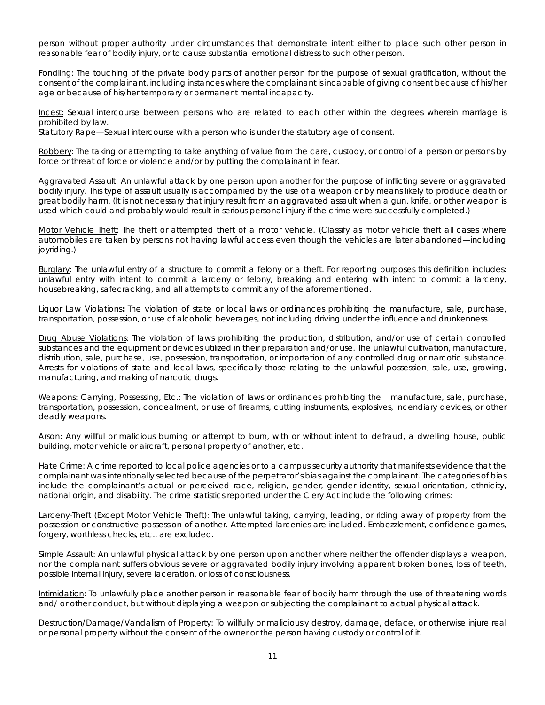person without proper authority under circumstances that demonstrate intent either to place such other person in reasonable fear of bodily injury, or to cause substantial emotional distress to such other person.

Fondling: The touching of the private body parts of another person for the purpose of sexual gratification, without the consent of the complainant, including instances where the complainant is incapable of giving consent because of his/her age or because of his/her temporary or permanent mental incapacity.

Incest: Sexual intercourse between persons who are related to each other within the degrees wherein marriage is prohibited by law.

Statutory Rape—Sexual intercourse with a person who is under the statutory age of consent.

Robbery*:* The taking or attempting to take anything of value from the care, custody, or control of a person or persons by force or threat of force or violence and/or by putting the complainant in fear.

Aggravated Assault*:* An unlawful attack by one person upon another for the purpose of inflicting severe or aggravated bodily injury. This type of assault usually is accompanied by the use of a weapon or by means likely to produce death or great bodily harm. (It is not necessary that injury result from an aggravated assault when a gun, knife, or other weapon is used which could and probably would result in serious personal injury if the crime were successfully completed.)

Motor Vehicle Theft: The theft or attempted theft of a motor vehicle. (Classify as motor vehicle theft all cases where automobiles are taken by persons not having lawful access even though the vehicles are later abandoned—including joyriding.)

Burglary*:* The unlawful entry of a structure to commit a felony or a theft. For reporting purposes this definition includes: unlawful entry with intent to commit a larceny or felony, breaking and entering with intent to commit a larceny, housebreaking, safecracking, and all attempts to commit any of the aforementioned.

Liquor Law Violations**:** The violation of state or local laws or ordinances prohibiting the manufacture, sale, purchase, transportation, possession, or use of alcoholic beverages, not including driving under the influence and drunkenness.

Drug Abuse Violations*:* The violation of laws prohibiting the production, distribution, and/or use of certain controlled substances and the equipment or devices utilized in their preparation and/or use. The unlawful cultivation, manufacture, distribution, sale, purchase, use, possession, transportation, or importation of any controlled drug or narcotic substance. Arrests for violations of state and local laws, specifically those relating to the unlawful possession, sale, use, growing, manufacturing, and making of narcotic drugs.

Weapons*:* Carrying, Possessing, Etc.: The violation of laws or ordinances prohibiting the manufacture, sale, purchase, transportation, possession, concealment, or use of firearms, cutting instruments, explosives, incendiary devices, or other deadly weapons.

Arson*:* Any willful or malicious burning or attempt to burn, with or without intent to defraud, a dwelling house, public building, motor vehicle or aircraft, personal property of another, etc.

*Hate* Crime*:* A crime reported to local police agencies or to a campus security authority that manifests evidence that the complainant was intentionally selected because of the perpetrator's bias against the complainant. The categories of bias include the complainant's actual or perceived race, religion, gender, gender identity, sexual orientation, ethnicity, national origin, and disability. The crime statistics reported under the Clery Act include the following crimes:

Larceny-Theft (Except Motor Vehicle Theft)*:* The unlawful taking, carrying, leading, or riding away of property from the possession or constructive possession of another. Attempted larcenies are included. Embezzlement, confidence games, forgery, worthless checks, etc., are excluded.

Simple Assault*:* An unlawful physical attack by one person upon another where neither the offender displays a weapon, nor the complainant suffers obvious severe or aggravated bodily injury involving apparent broken bones, loss of teeth, possible internal injury, severe laceration, or loss of consciousness.

*Intimidation:* To unlawfully place another person in reasonable fear of bodily harm through the use of threatening words and/ or other conduct, but without displaying a weapon or subjecting the complainant to actual physical attack.

Destruction/Damage/Vandalism of Property*:* To willfully or maliciously destroy, damage, deface, or otherwise injure real or personal property without the consent of the owner or the person having custody or control of it.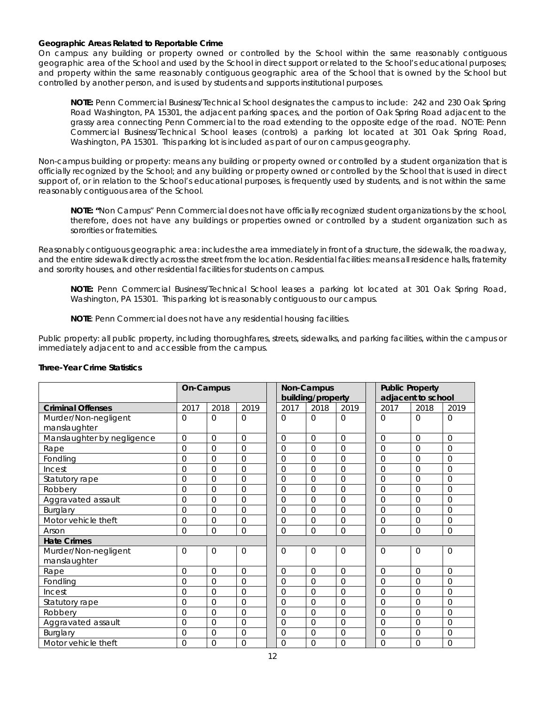# *Geographic Areas Related to Reportable Crime*

*On campus:* any building or property owned or controlled by the School within the same reasonably contiguous geographic area of the School and used by the School in direct support or related to the School's educational purposes; and property within the same reasonably contiguous geographic area of the School that is owned by the School but controlled by another person, and is used by students and supports institutional purposes.

**NOTE:** Penn Commercial Business/Technical School designates the campus to include: 242 and 230 Oak Spring Road Washington, PA 15301, the adjacent parking spaces, and the portion of Oak Spring Road adjacent to the grassy area connecting Penn Commercial to the road extending to the opposite edge of the road. NOTE: Penn Commercial Business/Technical School leases (controls) a parking lot located at 301 Oak Spring Road, Washington, PA 15301. This parking lot is included as part of our on campus geography.

*Non-campus building or property:* means any building or property owned or controlled by a student organization that is officially recognized by the School; and any building or property owned or controlled by the School that is used in direct support of, or in relation to the School's educational purposes, is frequently used by students, and is not within the same reasonably contiguous area of the School.

**NOTE: "**Non Campus" Penn Commercial does not have officially recognized student organizations by the school, therefore, does not have any buildings or properties owned or controlled by a student organization such as sororities or fraternities.

*Reasonably contiguous geographic area:* includes the area immediately in front of a structure, the sidewalk, the roadway, and the entire sidewalk directly across the street from the location. Residential facilities: means all residence halls, fraternity and sorority houses, and other residential facilities for students on campus.

**NOTE:** Penn Commercial Business/Technical School leases a parking lot located at 301 Oak Spring Road, Washington, PA 15301. This parking lot is reasonably contiguous to our campus.

**NOTE**: Penn Commercial does not have any residential housing facilities.

*Public property:* all public property, including thoroughfares, streets, sidewalks, and parking facilities, within the campus or immediately adjacent to and accessible from the campus.

|                            | On-Campus      |                |                |                | Non-Campus<br>building/property |                |          | <b>Public Property</b><br>adjacent to school |              |
|----------------------------|----------------|----------------|----------------|----------------|---------------------------------|----------------|----------|----------------------------------------------|--------------|
| <b>Criminal Offenses</b>   | 2017           | 2018           | 2019           | 2017           | 2018                            | 2019           | 2017     | 2018                                         | 2019         |
| Murder/Non-negligent       | $\Omega$       | $\Omega$       | $\Omega$       | $\Omega$       | $\Omega$                        | $\Omega$       | $\Omega$ | $\Omega$                                     | $\Omega$     |
| manslaughter               |                |                |                |                |                                 |                |          |                                              |              |
| Manslaughter by negligence | $\Omega$       | $\Omega$       | $\Omega$       | $\overline{0}$ | $\Omega$                        | $\Omega$       | $\Omega$ | $\Omega$                                     | $\Omega$     |
| Rape                       | $\Omega$       | $\Omega$       | $\overline{0}$ | $\Omega$       | $\Omega$                        | $\Omega$       | $\Omega$ | $\Omega$                                     | $\Omega$     |
| Fondling                   | $\Omega$       | $\Omega$       | 0              | $\overline{0}$ | $\Omega$                        | 0              | $\Omega$ | $\Omega$                                     | $\Omega$     |
| Incest                     | $\Omega$       | $\Omega$       | 0              | $\overline{0}$ | $\Omega$                        | 0              | $\Omega$ | $\Omega$                                     | $\Omega$     |
| Statutory rape             | $\Omega$       | $\Omega$       | 0              | $\Omega$       | $\Omega$                        | $\Omega$       | $\Omega$ | 0                                            | $\Omega$     |
| Robbery                    | $\Omega$       | $\Omega$       | 0              | $\Omega$       | $\Omega$                        | $\Omega$       | $\Omega$ | $\Omega$                                     | $\Omega$     |
| Aggravated assault         | 0              | $\Omega$       | $\Omega$       | $\Omega$       | $\Omega$                        | $\Omega$       | $\Omega$ | $\Omega$                                     | $\Omega$     |
| Burglary                   | $\overline{0}$ | $\Omega$       | $\overline{0}$ | $\overline{0}$ | $\Omega$                        | $\overline{0}$ | $\Omega$ | $\Omega$                                     | $\Omega$     |
| Motor vehicle theft        | 0              | $\overline{0}$ | $\overline{0}$ | 0              | $\mathbf 0$                     | 0              | $\Omega$ | $\Omega$                                     | $\mathbf{O}$ |
| Arson                      | $\Omega$       | $\Omega$       | $\Omega$       | $\Omega$       | $\Omega$                        | $\Omega$       | $\Omega$ | $\Omega$                                     | $\Omega$     |
| <b>Hate Crimes</b>         |                |                |                |                |                                 |                |          |                                              |              |
| Murder/Non-negligent       | $\Omega$       | $\Omega$       | $\Omega$       | $\Omega$       | $\Omega$                        | $\Omega$       | $\Omega$ | $\Omega$                                     | $\Omega$     |
| manslaughter               |                |                |                |                |                                 |                |          |                                              |              |
| Rape                       | $\Omega$       | $\Omega$       | 0              | $\overline{0}$ | $\Omega$                        | $\Omega$       | $\Omega$ | $\Omega$                                     | $\Omega$     |
| Fondling                   | $\Omega$       | $\Omega$       | $\overline{0}$ | $\Omega$       | $\Omega$                        | $\overline{0}$ | $\Omega$ | $\Omega$                                     | $\Omega$     |
| Incest                     | $\Omega$       | $\Omega$       | $\Omega$       | $\Omega$       | $\Omega$                        | $\Omega$       | $\Omega$ | $\Omega$                                     | $\Omega$     |
| Statutory rape             | $\Omega$       | $\Omega$       | $\Omega$       | $\Omega$       | $\Omega$                        | $\Omega$       | $\Omega$ | 0                                            | $\Omega$     |
| Robbery                    | $\Omega$       | $\Omega$       | $\Omega$       | $\Omega$       | $\Omega$                        | $\Omega$       | $\Omega$ | 0                                            | $\Omega$     |
| Aggravated assault         | $\Omega$       | $\Omega$       | $\Omega$       | $\Omega$       | $\Omega$                        | $\Omega$       | $\Omega$ | $\Omega$                                     | $\Omega$     |
| <b>Burglary</b>            | $\Omega$       | $\Omega$       | 0              | $\overline{0}$ | $\Omega$                        | 0              | $\Omega$ | $\Omega$                                     | $\Omega$     |
| Motor vehicle theft        | $\Omega$       | $\Omega$       | 0              | $\Omega$       | $\Omega$                        | $\Omega$       | $\Omega$ | $\Omega$                                     | $\Omega$     |

#### *Three-Year Crime Statistics*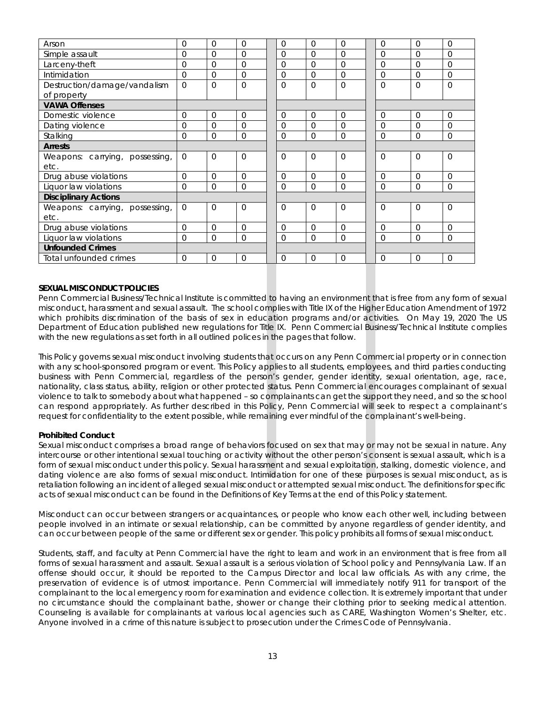| Arson                          | $\Omega$       | $\Omega$       | 0              | $\Omega$       | $\Omega$       | $\Omega$ | $\Omega$       | $\Omega$ | $\Omega$       |
|--------------------------------|----------------|----------------|----------------|----------------|----------------|----------|----------------|----------|----------------|
| Simple assault                 | 0              | $\Omega$       | 0              | $\overline{0}$ | $\Omega$       | $\Omega$ | $\Omega$       | $\Omega$ | $\Omega$       |
| Larceny-theft                  | $\Omega$       | $\Omega$       | $\Omega$       | $\Omega$       | $\Omega$       | $\Omega$ | $\Omega$       | $\Omega$ | $\Omega$       |
| Intimidation                   | $\Omega$       | $\Omega$       | 0              | $\Omega$       | $\Omega$       | $\Omega$ | $\Omega$       | $\Omega$ | $\Omega$       |
| Destruction/damage/vandalism   | $\Omega$       | $\Omega$       | $\Omega$       | $\Omega$       | $\Omega$       | $\Omega$ | $\Omega$       | $\Omega$ | $\Omega$       |
| of property                    |                |                |                |                |                |          |                |          |                |
| <b>VAWA Offenses</b>           |                |                |                |                |                |          |                |          |                |
| Domestic violence              | 0              | $\overline{0}$ | $\overline{0}$ | $\mathbf{0}$   | $\overline{0}$ | 0        | $\overline{0}$ | $\Omega$ | $\overline{0}$ |
| Dating violence                | $\Omega$       | $\Omega$       | $\Omega$       | $\Omega$       | $\Omega$       | $\Omega$ | $\Omega$       | $\Omega$ | $\Omega$       |
| Stalking                       | $\Omega$       | $\Omega$       | $\Omega$       | $\Omega$       | $\Omega$       | $\Omega$ | $\Omega$       | $\Omega$ | $\Omega$       |
| <b>Arrests</b>                 |                |                |                |                |                |          |                |          |                |
| Weapons: carrying, possessing, | $\Omega$       | $\Omega$       | $\Omega$       | $\Omega$       | $\Omega$       | $\Omega$ | $\Omega$       | $\Omega$ | $\Omega$       |
| etc.                           |                |                |                |                |                |          |                |          |                |
| Drug abuse violations          | $\overline{0}$ | $\Omega$       | 0              | $\overline{0}$ | $\Omega$       | $\Omega$ | $\Omega$       | $\Omega$ | $\Omega$       |
| Liquor law violations          | $\Omega$       | $\Omega$       | $\Omega$       | $\Omega$       | $\Omega$       | $\Omega$ | $\Omega$       | $\Omega$ | $\Omega$       |
| <b>Disciplinary Actions</b>    |                |                |                |                |                |          |                |          |                |
| Weapons: carrying, possessing, | $\Omega$       | $\Omega$       | $\Omega$       | $\Omega$       | $\Omega$       | $\Omega$ | $\Omega$       | $\Omega$ | $\Omega$       |
| etc.                           |                |                |                |                |                |          |                |          |                |
| Drug abuse violations          | $\Omega$       | $\Omega$       | 0              | $\Omega$       | $\Omega$       | $\Omega$ | $\Omega$       | $\Omega$ | $\Omega$       |
| Liquor law violations          | $\Omega$       | $\Omega$       | $\Omega$       | $\overline{0}$ | $\Omega$       | 0        | $\Omega$       | $\Omega$ | $\Omega$       |
| <b>Unfounded Crimes</b>        |                |                |                |                |                |          |                |          |                |
| Total unfounded crimes         | $\Omega$       | $\Omega$       | $\Omega$       | $\Omega$       | $\Omega$       | $\Omega$ | $\Omega$       | $\Omega$ | $\Omega$       |

# **SEXUAL MISCONDUCT POLICIES**

Penn Commercial Business/Technical Institute is committed to having an environment that is free from any form of sexual misconduct, harassment and sexual assault. The school complies with Title IX of the Higher Education Amendment of 1972 which prohibits discrimination of the basis of sex in education programs and/or activities. On May 19, 2020 The US Department of Education published new regulations for Title IX. Penn Commercial Business/Technical Institute complies with the new regulations as set forth in all outlined polices in the pages that follow.

This Policy governs sexual misconduct involving students that occurs on any Penn Commercial property or in connection with any school-sponsored program or event. This Policy applies to all students, employees, and third parties conducting business with Penn Commercial, regardless of the person's gender, gender identity, sexual orientation, age, race, nationality, class status, ability, religion or other protected status. Penn Commercial encourages complainant of sexual violence to talk to somebody about what happened – so complainants can get the support they need, and so the school can respond appropriately. As further described in this Policy, Penn Commercial will seek to respect a complainant's request for confidentiality to the extent possible, while remaining ever mindful of the complainant's well-being.

# *Prohibited Conduct*

Sexual misconduct comprises a broad range of behaviors focused on sex that may or may not be sexual in nature. Any intercourse or other intentional sexual touching or activity without the other person's consent is sexual assault, which is a form of sexual misconduct under this policy. Sexual harassment and sexual exploitation, stalking, domestic violence, and dating violence are also forms of sexual misconduct. Intimidation for one of these purposes is sexual misconduct, as is retaliation following an incident of alleged sexual misconduct or attempted sexual misconduct. The definitions for specific acts of sexual misconduct can be found in the Definitions of Key Terms at the end of this Policy statement.

Misconduct can occur between strangers or acquaintances, or people who know each other well, including between people involved in an intimate or sexual relationship, can be committed by anyone regardless of gender identity, and can occur between people of the same or different sex or gender. This policy prohibits all forms of sexual misconduct.

Students, staff, and faculty at Penn Commercial have the right to learn and work in an environment that is free from all forms of sexual harassment and assault. Sexual assault is a serious violation of School policy and Pennsylvania Law. If an offense should occur, it should be reported to the Campus Director and local law officials. As with any crime, the preservation of evidence is of utmost importance. Penn Commercial will immediately notify 911 for transport of the complainant to the local emergency room for examination and evidence collection. It is extremely important that under no circumstance should the complainant bathe, shower or change their clothing prior to seeking medical attention. Counseling is available for complainants at various local agencies such as CARE, Washington Women's Shelter, etc. Anyone involved in a crime of this nature is subject to prosecution under the Crimes Code of Pennsylvania.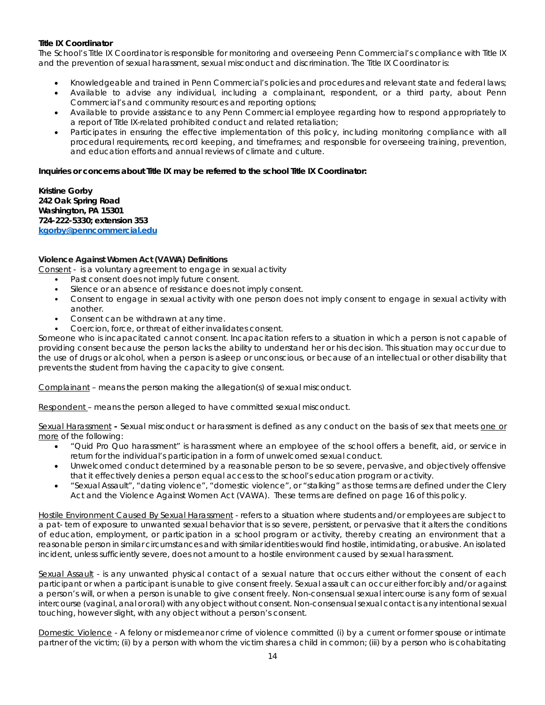# *Title IX Coordinator*

The School's Title IX Coordinator is responsible for monitoring and overseeing Penn Commercial's compliance with Title IX and the prevention of sexual harassment, sexual misconduct and discrimination. The Title IX Coordinator is:

- Knowledgeable and trained in Penn Commercial's policies and procedures and relevant state and federal laws;
- Available to advise any individual, including a complainant, respondent, or a third party, about Penn Commercial's and community resources and reporting options;
- Available to provide assistance to any Penn Commercial employee regarding how to respond appropriately to a report of Title IX-related prohibited conduct and related retaliation;
- Participates in ensuring the effective implementation of this policy, including monitoring compliance with all procedural requirements, record keeping, and timeframes; and responsible for overseeing training, prevention, and education efforts and annual reviews of climate and culture.

# **Inquiries or concerns about Title IX may be referred to the school Title IX Coordinator:**

**Kristine Gorby 242 Oak Spring Road Washington, PA 15301 724-222-5330; extension 353 [kgorby@penncommercial.edu](mailto:kgorby@penncommercial.edu)**

# *Violence Against Women Act (VAWA) Definitions*

Consent - is a voluntary agreement to engage in sexual activity

- Past consent does not imply future consent.
- Silence or an absence of resistance does not imply consent.
- Consent to engage in sexual activity with one person does not imply consent to engage in sexual activity with another.
- Consent can be withdrawn at any time.
- Coercion, force, or threat of either invalidates consent.

Someone who is incapacitated cannot consent. Incapacitation refers to a situation in which a person is not capable of providing consent because the person lacks the ability to understand her or his decision. This situation may occur due to the use of drugs or alcohol, when a person is asleep or unconscious, or because of an intellectual or other disability that prevents the student from having the capacity to give consent.

Complainant – means the person making the allegation(s) of sexual misconduct.

Respondent – means the person alleged to have committed sexual misconduct.

Sexual Harassment - Sexual misconduct or harassment is defined as any conduct on the basis of sex that meets one or more of the following:

- "Quid Pro Quo harassment" is harassment where an employee of the school offers a benefit, aid, or service in return for the individual's participation in a form of unwelcomed sexual conduct.
- Unwelcomed conduct determined by a reasonable person to be so severe, pervasive, and objectively offensive that it effectively denies a person equal access to the school's education program or activity.
- "Sexual Assault", "dating violence", "domestic violence", or "stalking" as those terms are defined under the Clery Act and the Violence Against Women Act (VAWA). These terms are defined on page 16 of this policy.

Hostile Environment Caused By Sexual Harassment - refers to a situation where students and/or employees are subject to a pat- tern of exposure to unwanted sexual behavior that is so severe, persistent, or pervasive that it alters the conditions of education, employment, or participation in a school program or activity, thereby creating an environment that a reasonable person in similar circumstances and with similar identities would find hostile, intimidating, or abusive. An isolated incident, unless sufficiently severe, does not amount to a hostile environment caused by sexual harassment.

Sexual Assault - is any unwanted physical contact of a sexual nature that occurs either without the consent of each participant or when a participant is unable to give consent freely. Sexual assault can occur either forcibly and/or against a person's will, or when a person is unable to give consent freely. Non-consensual sexual intercourse is any form of sexual intercourse (vaginal, anal or oral) with any object without consent. Non-consensual sexual contact is any intentional sexual touching, however slight, with any object without a person's consent.

Domestic Violence - A felony or misdemeanor crime of violence committed (i) by a current or former spouse or intimate partner of the victim; (ii) by a person with whom the victim shares a child in common; (iii) by a person who is cohabitating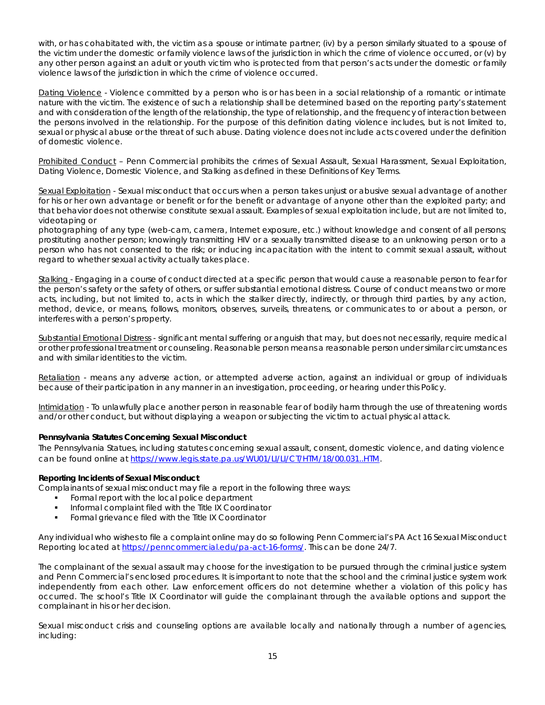with, or has cohabitated with, the victim as a spouse or intimate partner; (iv) by a person similarly situated to a spouse of the victim under the domestic or family violence laws of the jurisdiction in which the crime of violence occurred, or (v) by any other person against an adult or youth victim who is protected from that person's acts under the domestic or family violence laws of the jurisdiction in which the crime of violence occurred.

Dating Violence - Violence committed by a person who is or has been in a social relationship of a romantic or intimate nature with the victim. The existence of such a relationship shall be determined based on the reporting party's statement and with consideration of the length of the relationship, the type of relationship, and the frequency of interaction between the persons involved in the relationship. For the purpose of this definition dating violence includes, but is not limited to, sexual or physical abuse or the threat of such abuse. Dating violence does not include acts covered under the definition of domestic violence.

Prohibited Conduct - Penn Commercial prohibits the crimes of Sexual Assault, Sexual Harassment, Sexual Exploitation, Dating Violence, Domestic Violence, and Stalking as defined in these Definitions of Key Terms.

Sexual Exploitation - Sexual misconduct that occurs when a person takes unjust or abusive sexual advantage of another for his or her own advantage or benefit or for the benefit or advantage of anyone other than the exploited party; and that behavior does not otherwise constitute sexual assault. Examples of sexual exploitation include, but are not limited to, videotaping or

photographing of any type (web-cam, camera, Internet exposure, etc.) without knowledge and consent of all persons; prostituting another person; knowingly transmitting HIV or a sexually transmitted disease to an unknowing person or to a person who has not consented to the risk; or inducing incapacitation with the intent to commit sexual assault, without regard to whether sexual activity actually takes place.

Stalking - Engaging in a course of conduct directed at a specific person that would cause a reasonable person to fear for the person's safety or the safety of others, or suffer substantial emotional distress. Course of conduct means two or more acts, including, but not limited to, acts in which the stalker directly, indirectly, or through third parties, by any action, method, device, or means, follows, monitors, observes, surveils, threatens, or communicates to or about a person, or interferes with a person's property.

Substantial Emotional Distress - significant mental suffering or anguish that may, but does not necessarily, require medical or other professional treatment or counseling. Reasonable person means a reasonable person under similar circumstances and with similar identities to the victim.

Retaliation - means any adverse action, or attempted adverse action, against an individual or group of individuals because of their participation in any manner in an investigation, proceeding, or hearing under this Policy.

Intimidation - To unlawfully place another person in reasonable fear of bodily harm through the use of threatening words and/or other conduct, but without displaying a weapon or subjecting the victim to actual physical attack.

# **Pennsylvania Statutes Concerning Sexual Misconduct**

The Pennsylvania Statues, including statutes concerning sexual assault, consent, domestic violence, and dating violence can be found online a[t https://www.legis.state.pa.us/WU01/LI/LI/CT/HTM/18/00.031..HTM.](https://www.legis.state.pa.us/WU01/LI/LI/CT/HTM/18/00.031..HTM)

#### *Reporting Incidents of Sexual Misconduct*

Complainants of sexual misconduct may file a report in the following three ways:

- Formal report with the local police department
- Informal complaint filed with the Title IX Coordinator
- **Formal grievance filed with the Title IX Coordinator**

Any individual who wishes to file a complaint online may do so following Penn Commercial's PA Act 16 Sexual Misconduct Reporting located at [https://penncommercial.edu/pa-act-16-forms/.](https://penncommercial.edu/pa-act-16-forms/) This can be done 24/7.

The complainant of the sexual assault may choose for the investigation to be pursued through the criminal justice system and Penn Commercial's enclosed procedures. It is important to note that the school and the criminal justice system work independently from each other. Law enforcement officers do not determine whether a violation of this policy has occurred. The school's Title IX Coordinator will guide the complainant through the available options and support the complainant in his or her decision.

Sexual misconduct crisis and counseling options are available locally and nationally through a number of agencies, including: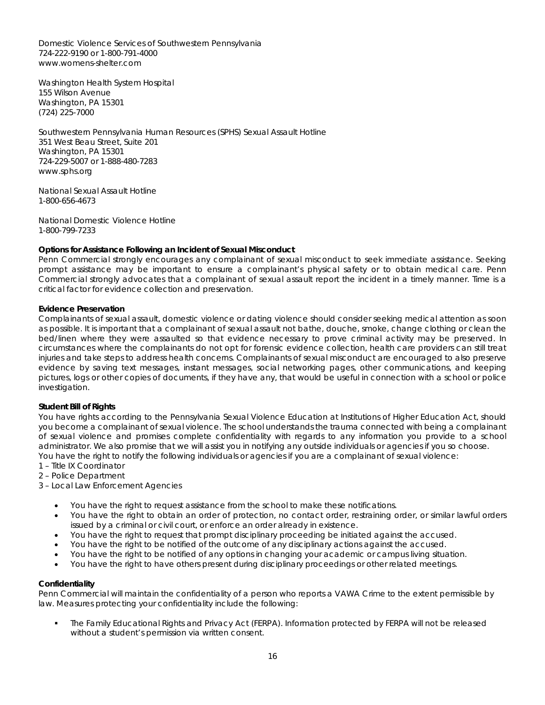Domestic Violence Services of Southwestern Pennsylvania 724-222-9190 or 1-800-791-4000 [www.womens-shelter.com](http://www.womens-shelter.com/)

Washington Health System Hospital 155 Wilson Avenue Washington, PA 15301 (724) 225-7000

Southwestern Pennsylvania Human Resources (SPHS) Sexual Assault Hotline 351 West Beau Street, Suite 201 Washington, PA 15301 724-229-5007 or 1-888-480-7283 [www.sphs.org](http://www.sphs.org/)

National Sexual Assault Hotline 1-800-656-4673

National Domestic Violence Hotline 1-800-799-7233

# *Options for Assistance Following an Incident of Sexual Misconduct*

Penn Commercial strongly encourages any complainant of sexual misconduct to seek immediate assistance. Seeking prompt assistance may be important to ensure a complainant's physical safety or to obtain medical care. Penn Commercial strongly advocates that a complainant of sexual assault report the incident in a timely manner. Time is a critical factor for evidence collection and preservation.

# *Evidence Preservation*

Complainants of sexual assault, domestic violence or dating violence should consider seeking medical attention as soon as possible. It is important that a complainant of sexual assault not bathe, douche, smoke, change clothing or clean the bed/linen where they were assaulted so that evidence necessary to prove criminal activity may be preserved. In circumstances where the complainants do not opt for forensic evidence collection, health care providers can still treat injuries and take steps to address health concerns. Complainants of sexual misconduct are encouraged to also preserve evidence by saving text messages, instant messages, social networking pages, other communications, and keeping pictures, logs or other copies of documents, if they have any, that would be useful in connection with a school or police investigation.

# *Student Bill of Rights*

You have rights according to the Pennsylvania Sexual Violence Education at Institutions of Higher Education Act, should you become a complainant of sexual violence. The school understands the trauma connected with being a complainant of sexual violence and promises complete confidentiality with regards to any information you provide to a school administrator. We also promise that we will assist you in notifying any outside individuals or agencies if you so choose. You have the right to notify the following individuals or agencies if you are a complainant of sexual violence:

1 – Title IX Coordinator

2 – Police Department

3 – Local Law Enforcement Agencies

- You have the right to request assistance from the school to make these notifications.
- You have the right to obtain an order of protection, no contact order, restraining order, or similar lawful orders issued by a criminal or civil court, or enforce an order already in existence.
- You have the right to request that prompt disciplinary proceeding be initiated against the accused.
- You have the right to be notified of the outcome of any disciplinary actions against the accused.
- You have the right to be notified of any options in changing your academic or campus living situation.
- You have the right to have others present during disciplinary proceedings or other related meetings.

# **Confidentiality**

Penn Commercial will maintain the confidentiality of a person who reports a VAWA Crime to the extent permissible by law. Measures protecting your confidentiality include the following:

 The Family Educational Rights and Privacy Act (FERPA). Information protected by FERPA will not be released without a student's permission via written consent.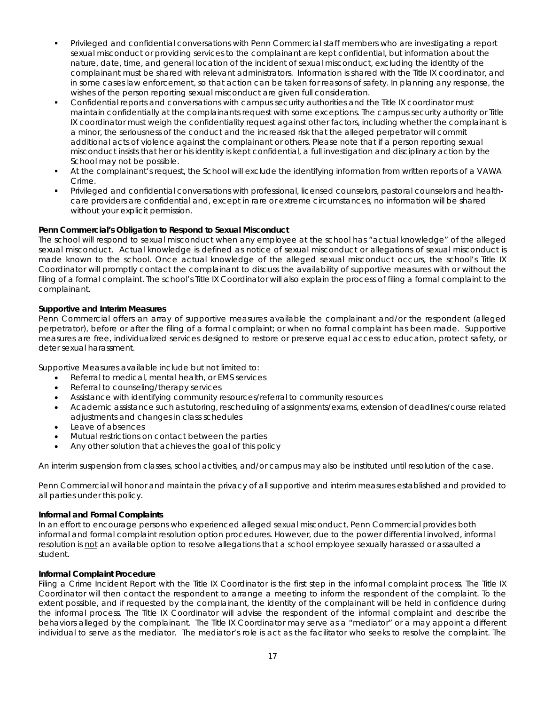- Privileged and confidential conversations with Penn Commercial staff members who are investigating a report sexual misconduct or providing services to the complainant are kept confidential, but information about the nature, date, time, and general location of the incident of sexual misconduct, excluding the identity of the complainant must be shared with relevant administrators. Information is shared with the Title IX coordinator, and in some cases law enforcement, so that action can be taken for reasons of safety. In planning any response, the wishes of the person reporting sexual misconduct are given full consideration.
- Confidential reports and conversations with campus security authorities and the Title IX coordinator must maintain confidentially at the complainants request with some exceptions. The campus security authority or Title IX coordinator must weigh the confidentiality request against other factors, including whether the complainant is a minor, the seriousness of the conduct and the increased risk that the alleged perpetrator will commit additional acts of violence against the complainant or others. Please note that if a person reporting sexual misconduct insists that her or his identity is kept confidential, a full investigation and disciplinary action by the School may not be possible.
- At the complainant's request, the School will exclude the identifying information from written reports of a VAWA Crime.
- Privileged and confidential conversations with professional, licensed counselors, pastoral counselors and healthcare providers are confidential and, except in rare or extreme circumstances, no information will be shared without your explicit permission.

# *Penn Commercial's Obligation to Respond to Sexual Misconduct*

The school will respond to sexual misconduct when any employee at the school has "actual knowledge" of the alleged sexual misconduct. Actual knowledge is defined as notice of sexual misconduct or allegations of sexual misconduct is made known to the school. Once actual knowledge of the alleged sexual misconduct occurs, the school's Title IX Coordinator will promptly contact the complainant to discuss the availability of supportive measures with or without the filing of a formal complaint. The school's Title IX Coordinator will also explain the process of filing a formal complaint to the complainant.

# *Supportive and Interim Measures*

Penn Commercial offers an array of supportive measures available the complainant and/or the respondent (alleged perpetrator), before or after the filing of a formal complaint; or when no formal complaint has been made. Supportive measures are free, individualized services designed to restore or preserve equal access to education, protect safety, or deter sexual harassment.

Supportive Measures available include but not limited to:

- Referral to medical, mental health, or EMS services
- Referral to counseling/therapy services
- Assistance with identifying community resources/referral to community resources
- Academic assistance such as tutoring, rescheduling of assignments/exams, extension of deadlines/course related adjustments and changes in class schedules
- Leave of absences
- Mutual restrictions on contact between the parties
- Any other solution that achieves the goal of this policy

An interim suspension from classes, school activities, and/or campus may also be instituted until resolution of the case.

Penn Commercial will honor and maintain the privacy of all supportive and interim measures established and provided to all parties under this policy.

# *Informal and Formal Complaints*

In an effort to encourage persons who experienced alleged sexual misconduct, Penn Commercial provides both informal and formal complaint resolution option procedures. However, due to the power differential involved, informal resolution is not an available option to resolve allegations that a school employee sexually harassed or assaulted a student.

# *Informal Complaint Procedure*

Filing a Crime Incident Report with the Title IX Coordinator is the first step in the informal complaint process. The Title IX Coordinator will then contact the respondent to arrange a meeting to inform the respondent of the complaint. To the extent possible, and if requested by the complainant, the identity of the complainant will be held in confidence during the informal process. The Title IX Coordinator will advise the respondent of the informal complaint and describe the behaviors alleged by the complainant. The Title IX Coordinator may serve as a "mediator" or a may appoint a different individual to serve as the mediator. The mediator's role is act as the facilitator who seeks to resolve the complaint. The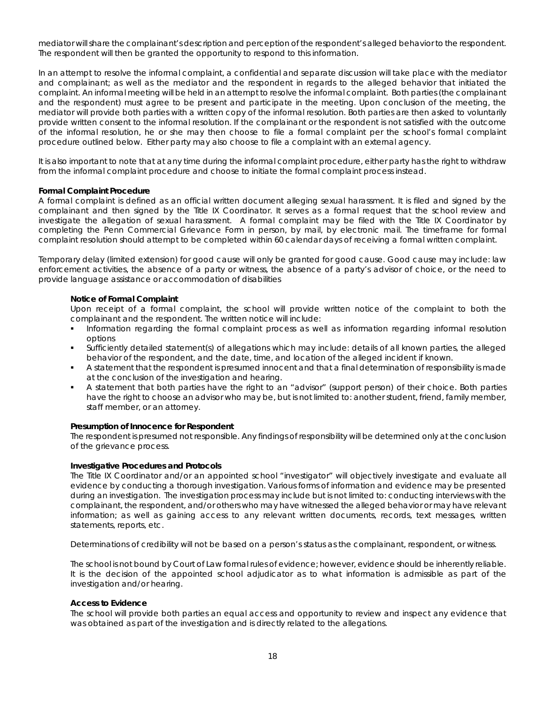mediator will share the complainant's description and perception of the respondent's alleged behavior to the respondent. The respondent will then be granted the opportunity to respond to this information.

In an attempt to resolve the informal complaint, a confidential and separate discussion will take place with the mediator and complainant; as well as the mediator and the respondent in regards to the alleged behavior that initiated the complaint. An informal meeting will be held in an attempt to resolve the informal complaint. Both parties (the complainant and the respondent) must agree to be present and participate in the meeting. Upon conclusion of the meeting, the mediator will provide both parties with a written copy of the informal resolution. Both parties are then asked to voluntarily provide written consent to the informal resolution. If the complainant or the respondent is not satisfied with the outcome of the informal resolution, he or she may then choose to file a formal complaint per the school's formal complaint procedure outlined below. Either party may also choose to file a complaint with an external agency.

It is also important to note that at any time during the informal complaint procedure, either party has the right to withdraw from the informal complaint procedure and choose to initiate the formal complaint process instead.

#### *Formal Complaint Procedure*

A formal complaint is defined as an official written document alleging sexual harassment. It is filed and signed by the complainant and then signed by the Title IX Coordinator. It serves as a *formal request* that the school review and investigate the allegation of sexual harassment. A formal complaint may be filed with the Title IX Coordinator by completing the Penn Commercial Grievance Form in person, by mail, by electronic mail. The timeframe for formal complaint resolution should attempt to be completed within 60 calendar days of receiving a formal written complaint.

*Temporary delay (limited extension) for good cause* will only be granted for good cause. Good cause may include: law enforcement activities, the absence of a party or witness, the absence of a party's advisor of choice, or the need to provide language assistance or accommodation of disabilities

# *Notice of Formal Complaint*

Upon receipt of a formal complaint, the school will provide written notice of the complaint to both the complainant and the respondent. The written notice will include:

- Information regarding the formal complaint process as well as information regarding informal resolution options
- Sufficiently detailed statement(s) of allegations which may include: details of all known parties, the alleged behavior of the respondent, and the date, time, and location of the alleged incident if known.
- A statement that the respondent is presumed innocent and that a final determination of responsibility is made at the conclusion of the investigation and hearing.
- A statement that both parties have the right to an "advisor" (support person) of their choice. Both parties have the right to choose an advisor who may be, but is not limited to: another student, friend, family member, staff member, or an attorney.

#### *Presumption of Innocence for Respondent*

The respondent is presumed not responsible. Any findings of responsibility will be determined only at the conclusion of the grievance process.

#### *Investigative Procedures and Protocols*

The Title IX Coordinator and/or an appointed school "investigator" will objectively investigate and evaluate all evidence by conducting a thorough investigation. Various forms of information and evidence may be presented during an investigation. The investigation process may include but is not limited to: conducting interviews with the complainant, the respondent, and/or others who may have witnessed the alleged behavior or may have relevant information; as well as gaining access to any relevant written documents, records, text messages, written statements, reports, etc.

Determinations of credibility will not be based on a person's status as the complainant, respondent, or witness.

The school is not bound by Court of Law formal rules of evidence; however, evidence should be inherently reliable. It is the decision of the appointed school adjudicator as to what information is admissible as part of the investigation and/or hearing.

#### *Access to Evidence*

The school will provide both parties an equal access and opportunity to review and inspect any evidence that was obtained as part of the investigation and is directly related to the allegations.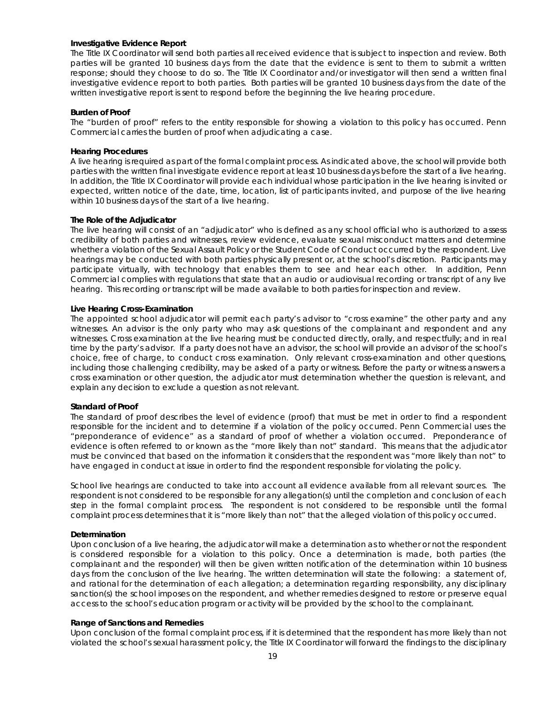#### *Investigative Evidence Report*

The Title IX Coordinator will send both parties all received evidence that is subject to inspection and review. Both parties will be granted 10 business days from the date that the evidence is sent to them to submit a written response; should they choose to do so. The Title IX Coordinator and/or investigator will then send a written final investigative evidence report to both parties. Both parties will be granted 10 business days from the date of the written investigative report is sent to respond before the beginning the live hearing procedure.

#### *Burden of Proof*

The "burden of proof" refers to the entity responsible for showing a violation to this policy has occurred. Penn Commercial carries the burden of proof when adjudicating a case.

#### *Hearing Procedures*

A live hearing is required as part of the formal complaint process. As indicated above, the school will provide both parties with the written final investigate evidence report at least 10 business days before the start of a live hearing. In addition, the Title IX Coordinator will provide each individual whose participation in the live hearing is invited or expected, written notice of the date, time, location, list of participants invited, and purpose of the live hearing within 10 business days of the start of a live hearing.

#### *The Role of the Adjudicator*

The live hearing will consist of an "adjudicator" who is defined as any school official who is authorized to assess credibility of both parties and witnesses, review evidence, evaluate sexual misconduct matters and determine whether a violation of the Sexual Assault Policy or the Student Code of Conduct occurred by the respondent. Live hearings may be conducted with both parties physically present or, at the school's discretion. Participants may participate virtually, with technology that enables them to see and hear each other. In addition, Penn Commercial complies with regulations that state that an audio or audiovisual recording or transcript of any live hearing. This recording or transcript will be made available to both parties for inspection and review.

#### *Live Hearing Cross-Examination*

The appointed school adjudicator will permit each party's advisor to "cross examine" the other party and any witnesses. An advisor is the *only party* who may ask questions of the complainant and respondent and any witnesses. Cross examination at the live hearing must be conducted directly, orally, and respectfully; and in real time by the party's advisor. If a party does not have an advisor, the school will provide an advisor of the school's choice, free of charge, to conduct cross examination. Only relevant cross-examination and other questions, including those challenging credibility, may be asked of a party or witness. Before the party or witness answers a cross examination or other question, the adjudicator must determination whether the question is relevant, and explain any decision to exclude a question as not relevant.

#### *Standard of Proof*

The standard of proof describes the level of evidence (proof) that must be met in order to find a respondent responsible for the incident and to determine if a violation of the policy occurred. Penn Commercial uses the "preponderance of evidence" as a standard of proof of whether a violation occurred. Preponderance of evidence is often referred to or known as the "more likely than not" standard. This means that the adjudicator must be convinced that based on the information it considers that the respondent was "more likely than not" to have engaged in conduct at issue in order to find the respondent responsible for violating the policy.

School live hearings are conducted to take into account all evidence available from all relevant sources. The respondent is not considered to be responsible for any allegation(s) until the completion and conclusion of each step in the formal complaint process. The respondent is not considered to be responsible until the formal complaint process determines that it is "more likely than not" that the alleged violation of this policy occurred.

#### *Determination*

Upon conclusion of a live hearing, the adjudicator will make a determination as to whether or not the respondent is considered responsible for a violation to this policy. Once a determination is made, both parties (the complainant and the responder) will then be given written notification of the determination within 10 business days from the conclusion of the live hearing. The written determination will state the following: a statement of, and rational for the determination of each allegation; a determination regarding responsibility, any disciplinary sanction(s) the school imposes on the respondent, and whether remedies designed to restore or preserve equal access to the school's education program or activity will be provided by the school to the complainant.

#### *Range of Sanctions and Remedies*

Upon conclusion of the formal complaint process, if it is determined that the respondent has more likely than not violated the school's sexual harassment policy, the Title IX Coordinator will forward the findings to the disciplinary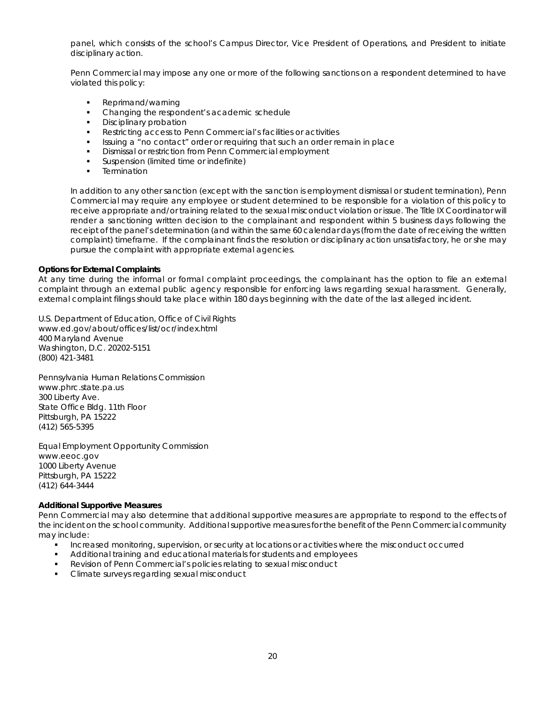panel, which consists of the school's Campus Director, Vice President of Operations, and President to initiate disciplinary action.

Penn Commercial may impose any one or more of the following sanctions on a respondent determined to have violated this policy:

- Reprimand/warning
- Changing the respondent's academic schedule
- **Disciplinary probation**
- Restricting access to Penn Commercial's facilities or activities
- Issuing a "no contact" order or requiring that such an order remain in place
- Dismissal or restriction from Penn Commercial employment
- Suspension (limited time or indefinite)
- **Termination**

In addition to any other sanction (except with the sanction is employment dismissal or student termination), Penn Commercial may require any employee or student determined to be responsible for a violation of this policy to receive appropriate and/or training related to the sexual misconduct violation or issue. The Title IX Coordinator will render a sanctioning written decision to the complainant and respondent within 5 business days following the receipt of the panel's determination (and within the same 60 calendar days (from the date of receiving the written complaint) timeframe. If the complainant finds the resolution or disciplinary action unsatisfactory, he or she may pursue the complaint with appropriate external agencies.

### *Options for External Complaints*

At any time during the informal or formal complaint proceedings, the complainant has the option to file an external complaint through an external public agency responsible for enforcing laws regarding sexual harassment. Generally, external complaint filings should take place within 180 days beginning with the date of the last alleged incident.

U.S. Department of Education, Office of Civil Rights [www.ed.gov/about/offices/list/ocr/index.html](http://www.ed.gov/about/offices/list/ocr/index.html) 400 Maryland Avenue Washington, D.C. 20202-5151 (800) 421-3481

Pennsylvania Human Relations Commission [www.phrc.state.pa.us](http://www.phrc.state.pa.us/) 300 Liberty Ave. State Office Bldg. 11th Floor Pittsburgh, PA 15222 (412) 565-5395

Equal Employment Opportunity Commission [www.eeoc.gov](http://www.eeoc.gov/) 1000 Liberty Avenue Pittsburgh, PA 15222 (412) 644-3444

#### *Additional Supportive Measures*

Penn Commercial may also determine that additional supportive measures are appropriate to respond to the effects of the incident on the school community. Additional supportive measures for the benefit of the Penn Commercial community may include:

- **Increased monitoring, supervision, or security at locations or activities where the misconduct occurred**
- Additional training and educational materials for students and employees
- **Revision of Penn Commercial's policies relating to sexual misconduct**
- **Climate surveys regarding sexual misconduct**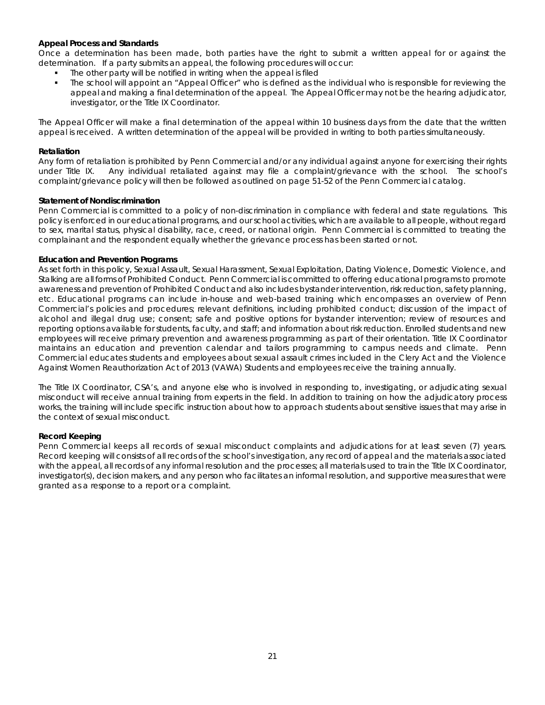# *Appeal Process and Standards*

Once a determination has been made, both parties have the right to submit a written appeal for or against the determination. If a party submits an appeal, the following procedures will occur:

- The other party will be notified in writing when the appeal is filed
- The school will appoint an "Appeal Officer" who is defined as the individual who is responsible for reviewing the appeal and making a final determination of the appeal. The Appeal Officer may not be the hearing adjudicator, investigator, or the Title IX Coordinator.

The Appeal Officer will make a final determination of the appeal within 10 business days from the date that the written appeal is received. A written determination of the appeal will be provided in writing to both parties simultaneously.

# *Retaliation*

Any form of retaliation is prohibited by Penn Commercial and/or any individual against anyone for exercising their rights under Title IX. Any individual retaliated against may file a complaint/grievance with the school. The school's complaint/grievance policy will then be followed as outlined on page 51-52 of the Penn Commercial catalog.

#### *Statement of Nondiscrimination*

Penn Commercial is committed to a policy of non-discrimination in compliance with federal and state regulations. This policy is enforced in our educational programs, and our school activities, which are available to all people, without regard to sex, marital status, physical disability, race, creed, or national origin. Penn Commercial is committed to treating the complainant and the respondent equally whether the grievance process has been started or not.

# *Education and Prevention Programs*

As set forth in this policy, Sexual Assault, Sexual Harassment, Sexual Exploitation, Dating Violence, Domestic Violence, and Stalking are all forms of Prohibited Conduct. Penn Commercial is committed to offering educational programs to promote awareness and prevention of Prohibited Conduct and also includes bystander intervention, risk reduction, safety planning, etc. Educational programs can include in-house and web-based training which encompasses an overview of Penn Commercial's policies and procedures; relevant definitions, including prohibited conduct; discussion of the impact of alcohol and illegal drug use; consent; safe and positive options for bystander intervention; review of resources and reporting options available for students, faculty, and staff; and information about risk reduction. Enrolled students and new employees will receive primary prevention and awareness programming as part of their orientation. Title IX Coordinator maintains an education and prevention calendar and tailors programming to campus needs and climate. Penn Commercial educates students and employees about sexual assault crimes included in the Clery Act and the Violence Against Women Reauthorization Act of 2013 (VAWA) Students and employees receive the training annually.

The Title IX Coordinator, CSA's, and anyone else who is involved in responding to, investigating, or adjudicating sexual misconduct will receive annual training from experts in the field. In addition to training on how the adjudicatory process works, the training will include specific instruction about how to approach students about sensitive issues that may arise in the context of sexual misconduct.

#### *Record Keeping*

Penn Commercial keeps all records of sexual misconduct complaints and adjudications for at least seven (7) years. Record keeping will consists of all records of the school's investigation, any record of appeal and the materials associated with the appeal, all records of any informal resolution and the processes; all materials used to train the Title IX Coordinator, investigator(s), decision makers, and any person who facilitates an informal resolution, and supportive measures that were granted as a response to a report or a complaint.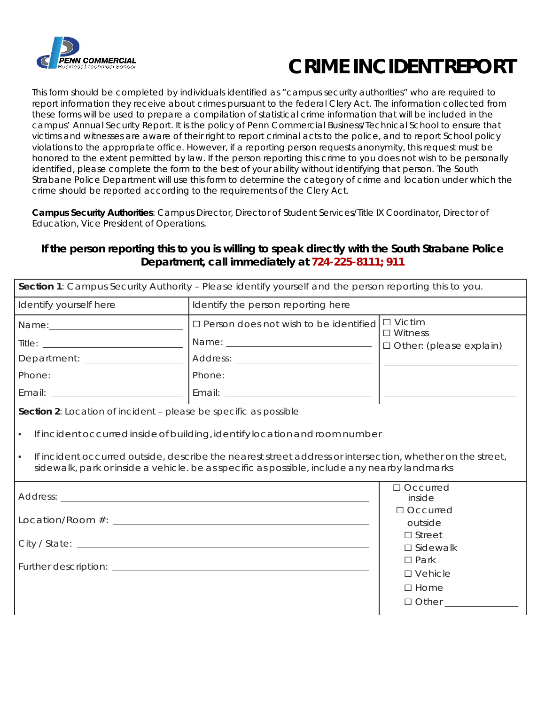

# **CRIME INCIDENT REPORT**

This form should be completed by individuals identified as "campus security authorities" who are required to report information they receive about crimes pursuant to the federal Clery Act. The information collected from these forms will be used to prepare a compilation of statistical crime information that will be included in the campus' Annual Security Report. It is the policy of Penn Commercial Business/Technical School to ensure that victims and witnesses are aware of their right to report criminal acts to the police, and to report School policy violations to the appropriate office. However, if a reporting person requests anonymity, this request must be honored to the extent permitted by law. If the person reporting this crime to you does not wish to be personally identified, please complete the form to the best of your ability without identifying that person. The South Strabane Police Department will use this form to determine the category of crime and location under which the crime should be reported according to the requirements of the Clery Act.

*Campus Security Authorities*: Campus Director, Director of Student Services/Title IX Coordinator, Director of Education, Vice President of Operations.

# **If the person reporting this to you is willing to speak directly with the South Strabane Police Department, call immediately at 724-225-8111; 911**

|                                                                                                | Section 1: Campus Security Authority - Please identify yourself and the person reporting this to you.                                                                                                                                                                                   |                                                  |  |  |  |  |  |
|------------------------------------------------------------------------------------------------|-----------------------------------------------------------------------------------------------------------------------------------------------------------------------------------------------------------------------------------------------------------------------------------------|--------------------------------------------------|--|--|--|--|--|
| Identify yourself here                                                                         | Identify the person reporting here                                                                                                                                                                                                                                                      |                                                  |  |  |  |  |  |
|                                                                                                | $\square$ Person does not wish to be identified                                                                                                                                                                                                                                         | $\Box$ Victim                                    |  |  |  |  |  |
|                                                                                                |                                                                                                                                                                                                                                                                                         | $\Box$ Witness<br>$\Box$ Other: (please explain) |  |  |  |  |  |
| Department: _________________                                                                  |                                                                                                                                                                                                                                                                                         |                                                  |  |  |  |  |  |
|                                                                                                |                                                                                                                                                                                                                                                                                         |                                                  |  |  |  |  |  |
|                                                                                                |                                                                                                                                                                                                                                                                                         |                                                  |  |  |  |  |  |
| $\bullet$<br>$\bullet$                                                                         | If incident occurred inside of building, identify location and room number<br>If incident occurred outside, describe the nearest street address or intersection, whether on the street,<br>sidewalk, park or inside a vehicle. be as specific as possible, include any nearby landmarks | $\Box$ Occurred                                  |  |  |  |  |  |
|                                                                                                | inside<br>$\Box$ Occurred<br>outside                                                                                                                                                                                                                                                    |                                                  |  |  |  |  |  |
| City / State: Lawrence and City / State: Lawrence and City / State: Lawrence and City / State: | $\Box$ Street<br>$\square$ Sidewalk                                                                                                                                                                                                                                                     |                                                  |  |  |  |  |  |
|                                                                                                | $\square$ Park<br>$\square$ Vehicle<br>$\square$ Home<br>$\Box$ Other $\Box$                                                                                                                                                                                                            |                                                  |  |  |  |  |  |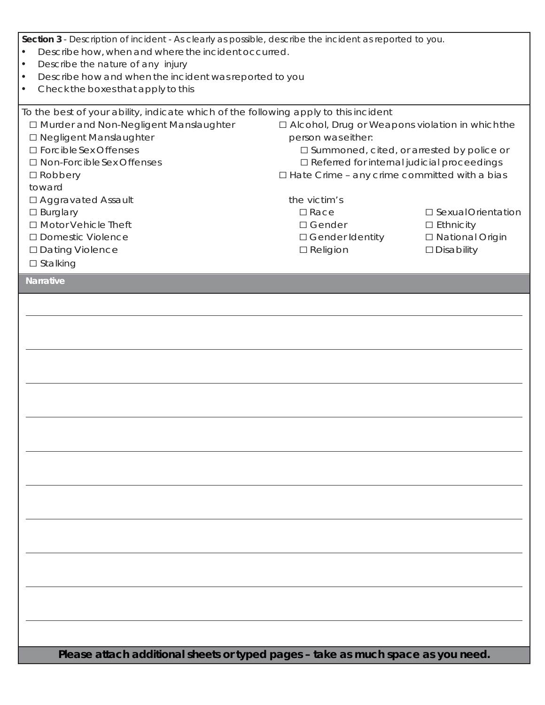| Section 3 - Description of incident - As clearly as possible, describe the incident as reported to you.<br>Describe how, when and where the incident occurred.<br>$\bullet$<br>Describe the nature of any injury<br>$\bullet$<br>Describe how and when the incident was reported to you<br>$\bullet$<br>Check the boxes that apply to this<br>$\bullet$                                      |                                                                                                                                                                                                                                                                                                                        |                                                                                       |
|----------------------------------------------------------------------------------------------------------------------------------------------------------------------------------------------------------------------------------------------------------------------------------------------------------------------------------------------------------------------------------------------|------------------------------------------------------------------------------------------------------------------------------------------------------------------------------------------------------------------------------------------------------------------------------------------------------------------------|---------------------------------------------------------------------------------------|
| To the best of your ability, indicate which of the following apply to this incident<br>□ Murder and Non-Negligent Manslaughter<br>□ Negligent Manslaughter<br>□ Forcible Sex Offenses<br>□ Non-Forcible Sex Offenses<br>$\square$ Robbery<br>toward<br>□ Aggravated Assault<br>$\square$ Burglary<br>□ Motor Vehicle Theft<br>□ Domestic Violence<br>□ Dating Violence<br>$\square$ Stalking | □ Alcohol, Drug or Weapons violation in which the<br>person was either:<br>□ Summoned, cited, or arrested by police or<br>□ Referred for internal judicial proceedings<br>□ Hate Crime - any crime committed with a bias<br>the victim's<br>$\square$ Race<br>$\square$ Gender<br>□ Gender Identity<br>$\Box$ Religion | □ Sexual Orientation<br>$\Box$ Ethnicity<br>□ National Origin<br>$\square$ Disability |
| <b>Narrative</b>                                                                                                                                                                                                                                                                                                                                                                             |                                                                                                                                                                                                                                                                                                                        |                                                                                       |
|                                                                                                                                                                                                                                                                                                                                                                                              |                                                                                                                                                                                                                                                                                                                        |                                                                                       |
| Please attach additional sheets or typed pages - take as much space as you need.                                                                                                                                                                                                                                                                                                             |                                                                                                                                                                                                                                                                                                                        |                                                                                       |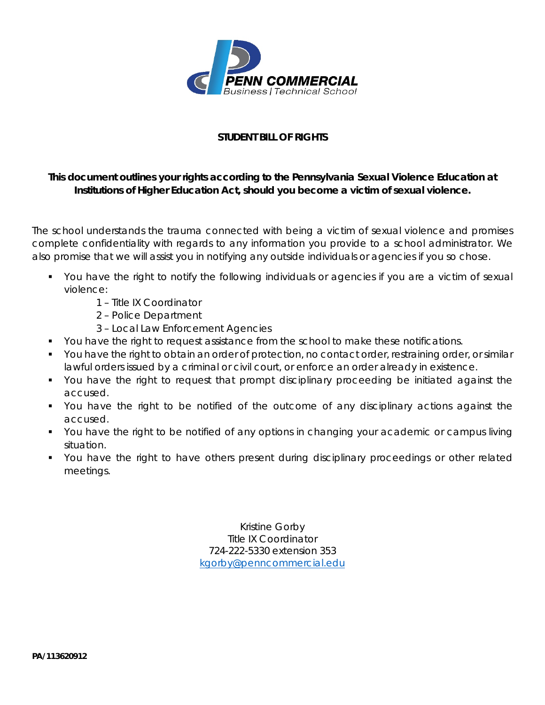

# **STUDENT BILL OF RIGHTS**

# *This document outlines your rights according to the Pennsylvania Sexual Violence Education at Institutions of Higher Education Act, should you become a victim of sexual violence.*

The school understands the trauma connected with being a victim of sexual violence and promises complete confidentiality with regards to any information you provide to a school administrator. We also promise that we will assist you in notifying any outside individuals or agencies if you so chose.

- You have the right to notify the following individuals or agencies if you are a victim of sexual violence:
	- 1 Title IX Coordinator
	- 2 Police Department
	- 3 Local Law Enforcement Agencies
- You have the right to request assistance from the school to make these notifications.
- You have the right to obtain an order of protection, no contact order, restraining order, or similar lawful orders issued by a criminal or civil court, or enforce an order already in existence.
- You have the right to request that prompt disciplinary proceeding be initiated against the accused.
- You have the right to be notified of the outcome of any disciplinary actions against the accused.
- You have the right to be notified of any options in changing your academic or campus living situation.
- You have the right to have others present during disciplinary proceedings or other related meetings.

Kristine Gorby Title IX Coordinator 724-222-5330 extension 353 [kgorby@penncommercial.edu](mailto:kgorby@penncommercial.edu)